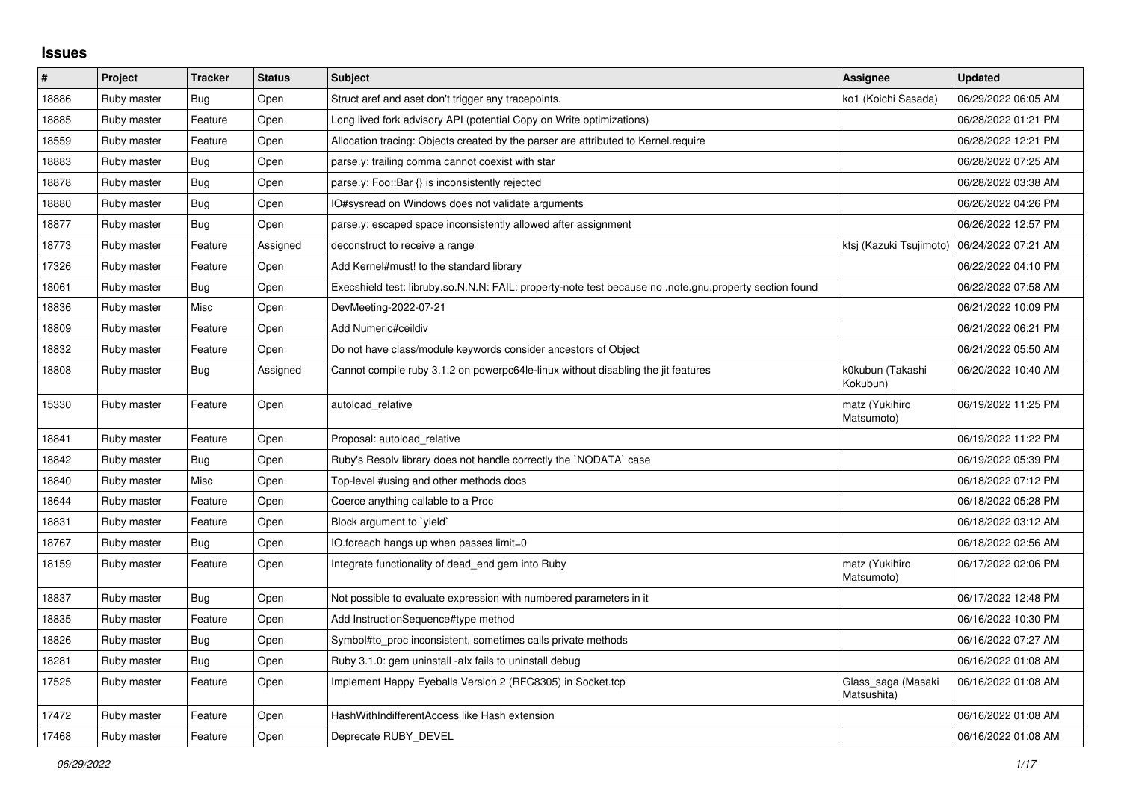## **Issues**

| $\pmb{\sharp}$ | Project     | <b>Tracker</b> | <b>Status</b> | <b>Subject</b>                                                                                          | <b>Assignee</b>                   | <b>Updated</b>      |
|----------------|-------------|----------------|---------------|---------------------------------------------------------------------------------------------------------|-----------------------------------|---------------------|
| 18886          | Ruby master | Bug            | Open          | Struct aref and aset don't trigger any tracepoints.                                                     | ko1 (Koichi Sasada)               | 06/29/2022 06:05 AM |
| 18885          | Ruby master | Feature        | Open          | Long lived fork advisory API (potential Copy on Write optimizations)                                    |                                   | 06/28/2022 01:21 PM |
| 18559          | Ruby master | Feature        | Open          | Allocation tracing: Objects created by the parser are attributed to Kernel.require                      |                                   | 06/28/2022 12:21 PM |
| 18883          | Ruby master | Bug            | Open          | parse y: trailing comma cannot coexist with star                                                        |                                   | 06/28/2022 07:25 AM |
| 18878          | Ruby master | Bug            | Open          | parse.y: Foo::Bar {} is inconsistently rejected                                                         |                                   | 06/28/2022 03:38 AM |
| 18880          | Ruby master | Bug            | Open          | IO#sysread on Windows does not validate arguments                                                       |                                   | 06/26/2022 04:26 PM |
| 18877          | Ruby master | <b>Bug</b>     | Open          | parse.y: escaped space inconsistently allowed after assignment                                          |                                   | 06/26/2022 12:57 PM |
| 18773          | Ruby master | Feature        | Assigned      | deconstruct to receive a range                                                                          | ktsj (Kazuki Tsujimoto)           | 06/24/2022 07:21 AM |
| 17326          | Ruby master | Feature        | Open          | Add Kernel#must! to the standard library                                                                |                                   | 06/22/2022 04:10 PM |
| 18061          | Ruby master | Bug            | Open          | Execshield test: libruby.so.N.N.N: FAIL: property-note test because no .note.gnu.property section found |                                   | 06/22/2022 07:58 AM |
| 18836          | Ruby master | Misc           | Open          | DevMeeting-2022-07-21                                                                                   |                                   | 06/21/2022 10:09 PM |
| 18809          | Ruby master | Feature        | Open          | Add Numeric#ceildiv                                                                                     |                                   | 06/21/2022 06:21 PM |
| 18832          | Ruby master | Feature        | Open          | Do not have class/module keywords consider ancestors of Object                                          |                                   | 06/21/2022 05:50 AM |
| 18808          | Ruby master | Bug            | Assigned      | Cannot compile ruby 3.1.2 on powerpc64le-linux without disabling the jit features                       | k0kubun (Takashi<br>Kokubun)      | 06/20/2022 10:40 AM |
| 15330          | Ruby master | Feature        | Open          | autoload_relative                                                                                       | matz (Yukihiro<br>Matsumoto)      | 06/19/2022 11:25 PM |
| 18841          | Ruby master | Feature        | Open          | Proposal: autoload relative                                                                             |                                   | 06/19/2022 11:22 PM |
| 18842          | Ruby master | <b>Bug</b>     | Open          | Ruby's Resolv library does not handle correctly the `NODATA` case                                       |                                   | 06/19/2022 05:39 PM |
| 18840          | Ruby master | Misc           | Open          | Top-level #using and other methods docs                                                                 |                                   | 06/18/2022 07:12 PM |
| 18644          | Ruby master | Feature        | Open          | Coerce anything callable to a Proc                                                                      |                                   | 06/18/2022 05:28 PM |
| 18831          | Ruby master | Feature        | Open          | Block argument to 'yield'                                                                               |                                   | 06/18/2022 03:12 AM |
| 18767          | Ruby master | Bug            | Open          | IO.foreach hangs up when passes limit=0                                                                 |                                   | 06/18/2022 02:56 AM |
| 18159          | Ruby master | Feature        | Open          | Integrate functionality of dead_end gem into Ruby                                                       | matz (Yukihiro<br>Matsumoto)      | 06/17/2022 02:06 PM |
| 18837          | Ruby master | <b>Bug</b>     | Open          | Not possible to evaluate expression with numbered parameters in it                                      |                                   | 06/17/2022 12:48 PM |
| 18835          | Ruby master | Feature        | Open          | Add InstructionSequence#type method                                                                     |                                   | 06/16/2022 10:30 PM |
| 18826          | Ruby master | Bug            | Open          | Symbol#to proc inconsistent, sometimes calls private methods                                            |                                   | 06/16/2022 07:27 AM |
| 18281          | Ruby master | Bug            | Open          | Ruby 3.1.0: gem uninstall -alx fails to uninstall debug                                                 |                                   | 06/16/2022 01:08 AM |
| 17525          | Ruby master | Feature        | Open          | Implement Happy Eyeballs Version 2 (RFC8305) in Socket.tcp                                              | Glass_saga (Masaki<br>Matsushita) | 06/16/2022 01:08 AM |
| 17472          | Ruby master | Feature        | Open          | HashWithIndifferentAccess like Hash extension                                                           |                                   | 06/16/2022 01:08 AM |
| 17468          | Ruby master | Feature        | Open          | Deprecate RUBY DEVEL                                                                                    |                                   | 06/16/2022 01:08 AM |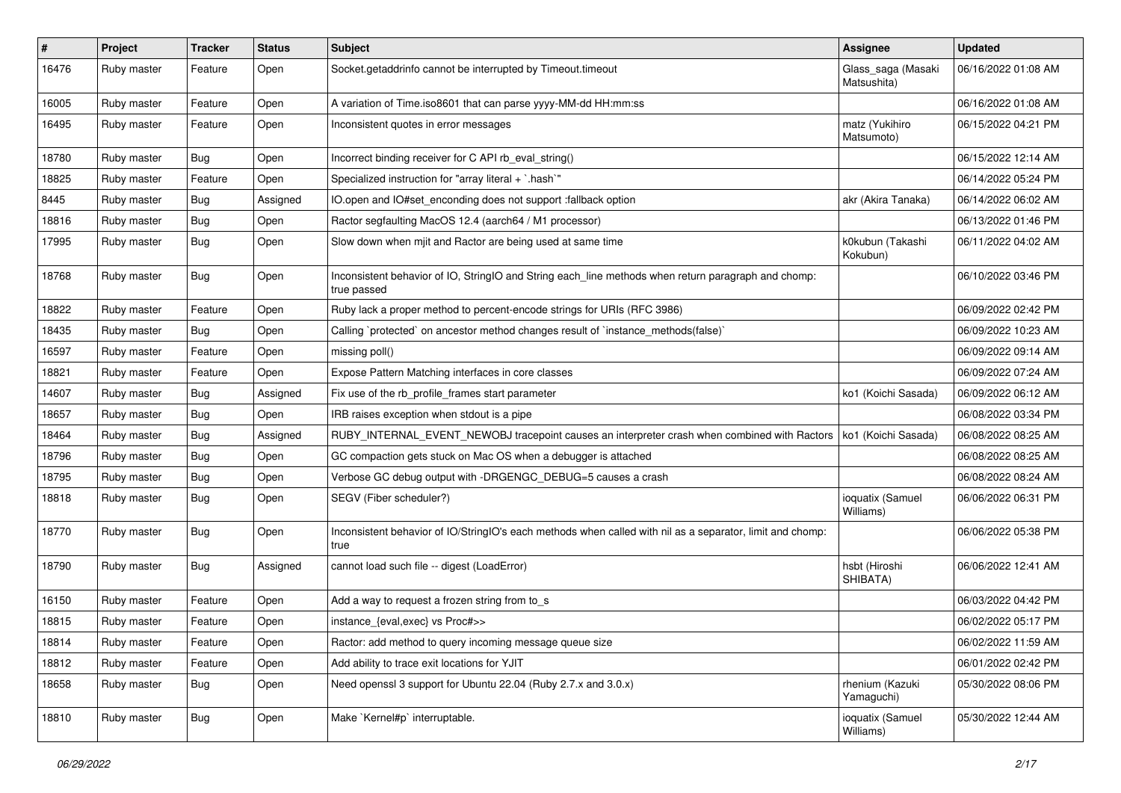| #     | Project     | <b>Tracker</b> | <b>Status</b> | <b>Subject</b>                                                                                                     | Assignee                          | <b>Updated</b>      |
|-------|-------------|----------------|---------------|--------------------------------------------------------------------------------------------------------------------|-----------------------------------|---------------------|
| 16476 | Ruby master | Feature        | Open          | Socket.getaddrinfo cannot be interrupted by Timeout.timeout                                                        | Glass_saga (Masaki<br>Matsushita) | 06/16/2022 01:08 AM |
| 16005 | Ruby master | Feature        | Open          | A variation of Time.iso8601 that can parse yyyy-MM-dd HH:mm:ss                                                     |                                   | 06/16/2022 01:08 AM |
| 16495 | Ruby master | Feature        | Open          | Inconsistent quotes in error messages                                                                              | matz (Yukihiro<br>Matsumoto)      | 06/15/2022 04:21 PM |
| 18780 | Ruby master | <b>Bug</b>     | Open          | Incorrect binding receiver for C API rb eval string()                                                              |                                   | 06/15/2022 12:14 AM |
| 18825 | Ruby master | Feature        | Open          | Specialized instruction for "array literal + `.hash`"                                                              |                                   | 06/14/2022 05:24 PM |
| 8445  | Ruby master | <b>Bug</b>     | Assigned      | IO.open and IO#set enconding does not support :fallback option                                                     | akr (Akira Tanaka)                | 06/14/2022 06:02 AM |
| 18816 | Ruby master | <b>Bug</b>     | Open          | Ractor segfaulting MacOS 12.4 (aarch64 / M1 processor)                                                             |                                   | 06/13/2022 01:46 PM |
| 17995 | Ruby master | <b>Bug</b>     | Open          | Slow down when mjit and Ractor are being used at same time                                                         | k0kubun (Takashi<br>Kokubun)      | 06/11/2022 04:02 AM |
| 18768 | Ruby master | <b>Bug</b>     | Open          | Inconsistent behavior of IO, StringIO and String each_line methods when return paragraph and chomp:<br>true passed |                                   | 06/10/2022 03:46 PM |
| 18822 | Ruby master | Feature        | Open          | Ruby lack a proper method to percent-encode strings for URIs (RFC 3986)                                            |                                   | 06/09/2022 02:42 PM |
| 18435 | Ruby master | <b>Bug</b>     | Open          | Calling `protected` on ancestor method changes result of `instance_methods(false)`                                 |                                   | 06/09/2022 10:23 AM |
| 16597 | Ruby master | Feature        | Open          | missing poll()                                                                                                     |                                   | 06/09/2022 09:14 AM |
| 18821 | Ruby master | Feature        | Open          | Expose Pattern Matching interfaces in core classes                                                                 |                                   | 06/09/2022 07:24 AM |
| 14607 | Ruby master | <b>Bug</b>     | Assigned      | Fix use of the rb_profile_frames start parameter                                                                   | ko1 (Koichi Sasada)               | 06/09/2022 06:12 AM |
| 18657 | Ruby master | <b>Bug</b>     | Open          | IRB raises exception when stdout is a pipe                                                                         |                                   | 06/08/2022 03:34 PM |
| 18464 | Ruby master | <b>Bug</b>     | Assigned      | RUBY_INTERNAL_EVENT_NEWOBJ tracepoint causes an interpreter crash when combined with Ractors                       | ko1 (Koichi Sasada)               | 06/08/2022 08:25 AM |
| 18796 | Ruby master | <b>Bug</b>     | Open          | GC compaction gets stuck on Mac OS when a debugger is attached                                                     |                                   | 06/08/2022 08:25 AM |
| 18795 | Ruby master | Bug            | Open          | Verbose GC debug output with -DRGENGC_DEBUG=5 causes a crash                                                       |                                   | 06/08/2022 08:24 AM |
| 18818 | Ruby master | <b>Bug</b>     | Open          | SEGV (Fiber scheduler?)                                                                                            | ioquatix (Samuel<br>Williams)     | 06/06/2022 06:31 PM |
| 18770 | Ruby master | <b>Bug</b>     | Open          | Inconsistent behavior of IO/StringIO's each methods when called with nil as a separator, limit and chomp:<br>true  |                                   | 06/06/2022 05:38 PM |
| 18790 | Ruby master | Bug            | Assigned      | cannot load such file -- digest (LoadError)                                                                        | hsbt (Hiroshi<br>SHIBATA)         | 06/06/2022 12:41 AM |
| 16150 | Ruby master | Feature        | Open          | Add a way to request a frozen string from to_s                                                                     |                                   | 06/03/2022 04:42 PM |
| 18815 | Ruby master | Feature        | Open          | instance {eval.exec} vs Proc#>>                                                                                    |                                   | 06/02/2022 05:17 PM |
| 18814 | Ruby master | Feature        | Open          | Ractor: add method to query incoming message queue size                                                            |                                   | 06/02/2022 11:59 AM |
| 18812 | Ruby master | Feature        | Open          | Add ability to trace exit locations for YJIT                                                                       |                                   | 06/01/2022 02:42 PM |
| 18658 | Ruby master | <b>Bug</b>     | Open          | Need openssl 3 support for Ubuntu 22.04 (Ruby 2.7.x and 3.0.x)                                                     | rhenium (Kazuki<br>Yamaguchi)     | 05/30/2022 08:06 PM |
| 18810 | Ruby master | <b>Bug</b>     | Open          | Make `Kernel#p` interruptable.                                                                                     | ioquatix (Samuel<br>Williams)     | 05/30/2022 12:44 AM |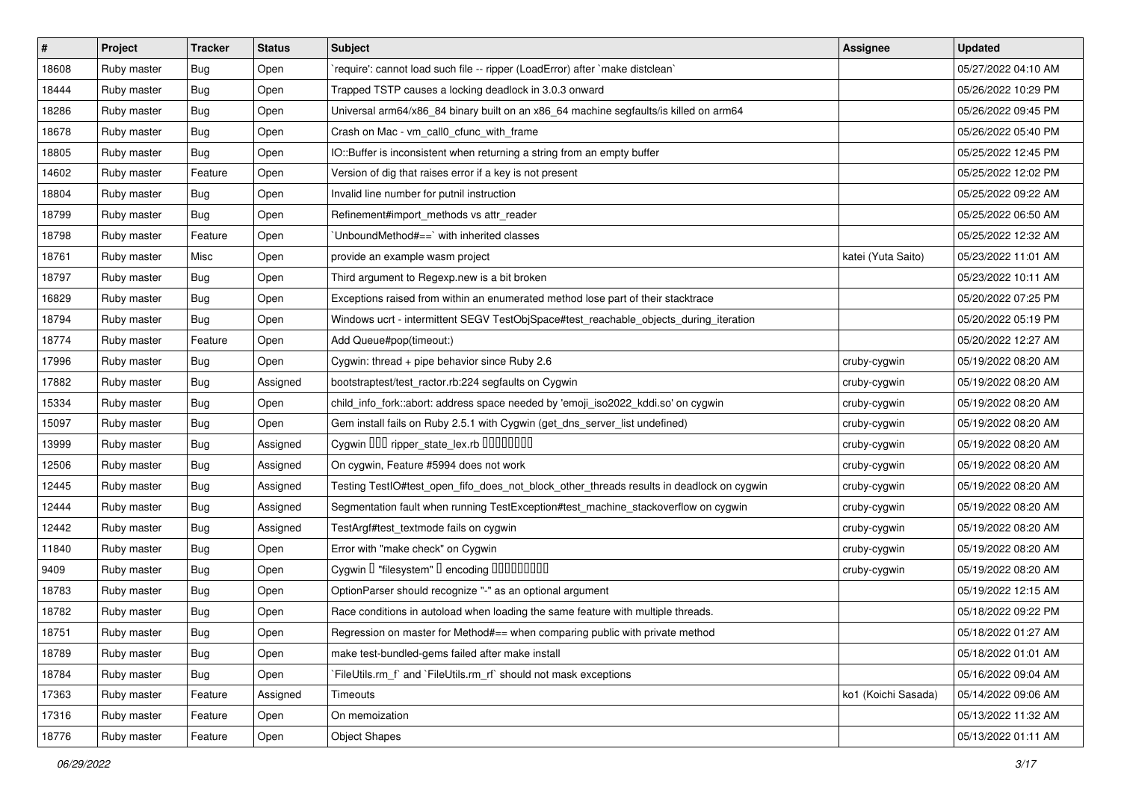| $\vert$ # | Project     | <b>Tracker</b> | <b>Status</b> | Subject                                                                                  | <b>Assignee</b>     | <b>Updated</b>      |
|-----------|-------------|----------------|---------------|------------------------------------------------------------------------------------------|---------------------|---------------------|
| 18608     | Ruby master | Bug            | Open          | 'require': cannot load such file -- ripper (LoadError) after 'make distclean'            |                     | 05/27/2022 04:10 AM |
| 18444     | Ruby master | Bug            | Open          | Trapped TSTP causes a locking deadlock in 3.0.3 onward                                   |                     | 05/26/2022 10:29 PM |
| 18286     | Ruby master | Bug            | Open          | Universal arm64/x86_84 binary built on an x86_64 machine segfaults/is killed on arm64    |                     | 05/26/2022 09:45 PM |
| 18678     | Ruby master | Bug            | Open          | Crash on Mac - vm_call0_cfunc_with_frame                                                 |                     | 05/26/2022 05:40 PM |
| 18805     | Ruby master | <b>Bug</b>     | Open          | IO::Buffer is inconsistent when returning a string from an empty buffer                  |                     | 05/25/2022 12:45 PM |
| 14602     | Ruby master | Feature        | Open          | Version of dig that raises error if a key is not present                                 |                     | 05/25/2022 12:02 PM |
| 18804     | Ruby master | Bug            | Open          | Invalid line number for putnil instruction                                               |                     | 05/25/2022 09:22 AM |
| 18799     | Ruby master | Bug            | Open          | Refinement#import_methods vs attr_reader                                                 |                     | 05/25/2022 06:50 AM |
| 18798     | Ruby master | Feature        | Open          | 'UnboundMethod#==' with inherited classes                                                |                     | 05/25/2022 12:32 AM |
| 18761     | Ruby master | Misc           | Open          | provide an example wasm project                                                          | katei (Yuta Saito)  | 05/23/2022 11:01 AM |
| 18797     | Ruby master | <b>Bug</b>     | Open          | Third argument to Regexp.new is a bit broken                                             |                     | 05/23/2022 10:11 AM |
| 16829     | Ruby master | Bug            | Open          | Exceptions raised from within an enumerated method lose part of their stacktrace         |                     | 05/20/2022 07:25 PM |
| 18794     | Ruby master | <b>Bug</b>     | Open          | Windows ucrt - intermittent SEGV TestObjSpace#test_reachable_objects_during_iteration    |                     | 05/20/2022 05:19 PM |
| 18774     | Ruby master | Feature        | Open          | Add Queue#pop(timeout:)                                                                  |                     | 05/20/2022 12:27 AM |
| 17996     | Ruby master | Bug            | Open          | Cygwin: thread + pipe behavior since Ruby 2.6                                            | cruby-cygwin        | 05/19/2022 08:20 AM |
| 17882     | Ruby master | Bug            | Assigned      | bootstraptest/test_ractor.rb:224 segfaults on Cygwin                                     | cruby-cygwin        | 05/19/2022 08:20 AM |
| 15334     | Ruby master | Bug            | Open          | child_info_fork::abort: address space needed by 'emoji_iso2022_kddi.so' on cygwin        | cruby-cygwin        | 05/19/2022 08:20 AM |
| 15097     | Ruby master | <b>Bug</b>     | Open          | Gem install fails on Ruby 2.5.1 with Cygwin (get_dns_server_list undefined)              | cruby-cygwin        | 05/19/2022 08:20 AM |
| 13999     | Ruby master | <b>Bug</b>     | Assigned      | Cygwin 000 ripper_state_lex.rb 0000000                                                   | cruby-cygwin        | 05/19/2022 08:20 AM |
| 12506     | Ruby master | Bug            | Assigned      | On cygwin, Feature #5994 does not work                                                   | cruby-cygwin        | 05/19/2022 08:20 AM |
| 12445     | Ruby master | Bug            | Assigned      | Testing TestlO#test_open_fifo_does_not_block_other_threads results in deadlock on cygwin | cruby-cygwin        | 05/19/2022 08:20 AM |
| 12444     | Ruby master | Bug            | Assigned      | Segmentation fault when running TestException#test_machine_stackoverflow on cygwin       | cruby-cygwin        | 05/19/2022 08:20 AM |
| 12442     | Ruby master | Bug            | Assigned      | TestArgf#test_textmode fails on cygwin                                                   | cruby-cygwin        | 05/19/2022 08:20 AM |
| 11840     | Ruby master | <b>Bug</b>     | Open          | Error with "make check" on Cygwin                                                        | cruby-cygwin        | 05/19/2022 08:20 AM |
| 9409      | Ruby master | Bug            | Open          | Cygwin I "filesystem" I encoding IIIIIIIIIIIII                                           | cruby-cygwin        | 05/19/2022 08:20 AM |
| 18783     | Ruby master | <b>Bug</b>     | Open          | OptionParser should recognize "-" as an optional argument                                |                     | 05/19/2022 12:15 AM |
| 18782     | Ruby master | <b>Bug</b>     | Open          | Race conditions in autoload when loading the same feature with multiple threads.         |                     | 05/18/2022 09:22 PM |
| 18751     | Ruby master | <b>Bug</b>     | Open          | Regression on master for Method#== when comparing public with private method             |                     | 05/18/2022 01:27 AM |
| 18789     | Ruby master | Bug            | Open          | make test-bundled-gems failed after make install                                         |                     | 05/18/2022 01:01 AM |
| 18784     | Ruby master | <b>Bug</b>     | Open          | FileUtils.rm_f` and `FileUtils.rm_rf` should not mask exceptions                         |                     | 05/16/2022 09:04 AM |
| 17363     | Ruby master | Feature        | Assigned      | Timeouts                                                                                 | ko1 (Koichi Sasada) | 05/14/2022 09:06 AM |
| 17316     | Ruby master | Feature        | Open          | On memoization                                                                           |                     | 05/13/2022 11:32 AM |
| 18776     | Ruby master | Feature        | Open          | <b>Object Shapes</b>                                                                     |                     | 05/13/2022 01:11 AM |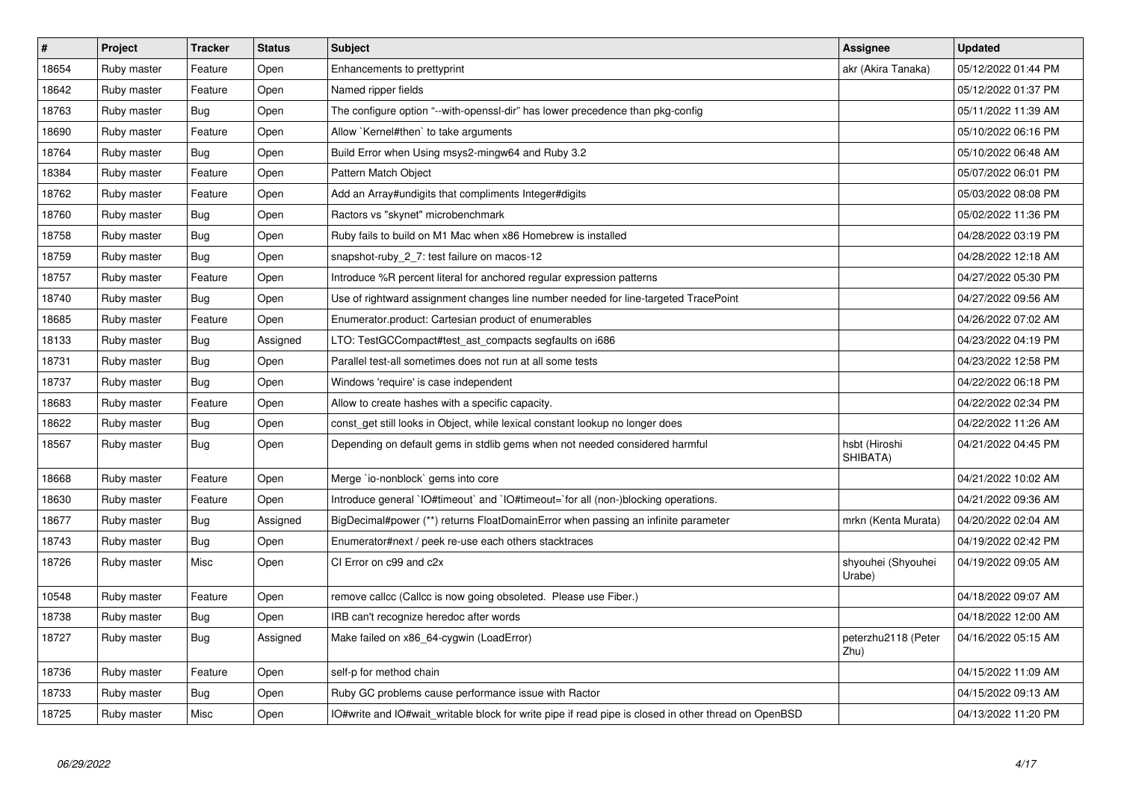| $\vert$ # | Project     | <b>Tracker</b> | <b>Status</b> | <b>Subject</b>                                                                                       | <b>Assignee</b>              | <b>Updated</b>      |
|-----------|-------------|----------------|---------------|------------------------------------------------------------------------------------------------------|------------------------------|---------------------|
| 18654     | Ruby master | Feature        | Open          | Enhancements to prettyprint                                                                          | akr (Akira Tanaka)           | 05/12/2022 01:44 PM |
| 18642     | Ruby master | Feature        | Open          | Named ripper fields                                                                                  |                              | 05/12/2022 01:37 PM |
| 18763     | Ruby master | <b>Bug</b>     | Open          | The configure option "--with-openssl-dir" has lower precedence than pkg-config                       |                              | 05/11/2022 11:39 AM |
| 18690     | Ruby master | Feature        | Open          | Allow `Kernel#then` to take arguments                                                                |                              | 05/10/2022 06:16 PM |
| 18764     | Ruby master | Bug            | Open          | Build Error when Using msys2-mingw64 and Ruby 3.2                                                    |                              | 05/10/2022 06:48 AM |
| 18384     | Ruby master | Feature        | Open          | <b>Pattern Match Object</b>                                                                          |                              | 05/07/2022 06:01 PM |
| 18762     | Ruby master | Feature        | Open          | Add an Array#undigits that compliments Integer#digits                                                |                              | 05/03/2022 08:08 PM |
| 18760     | Ruby master | <b>Bug</b>     | Open          | Ractors vs "skynet" microbenchmark                                                                   |                              | 05/02/2022 11:36 PM |
| 18758     | Ruby master | Bug            | Open          | Ruby fails to build on M1 Mac when x86 Homebrew is installed                                         |                              | 04/28/2022 03:19 PM |
| 18759     | Ruby master | <b>Bug</b>     | Open          | snapshot-ruby_2_7: test failure on macos-12                                                          |                              | 04/28/2022 12:18 AM |
| 18757     | Ruby master | Feature        | Open          | Introduce %R percent literal for anchored regular expression patterns                                |                              | 04/27/2022 05:30 PM |
| 18740     | Ruby master | <b>Bug</b>     | Open          | Use of rightward assignment changes line number needed for line-targeted TracePoint                  |                              | 04/27/2022 09:56 AM |
| 18685     | Ruby master | Feature        | Open          | Enumerator.product: Cartesian product of enumerables                                                 |                              | 04/26/2022 07:02 AM |
| 18133     | Ruby master | <b>Bug</b>     | Assigned      | LTO: TestGCCompact#test_ast_compacts segfaults on i686                                               |                              | 04/23/2022 04:19 PM |
| 18731     | Ruby master | <b>Bug</b>     | Open          | Parallel test-all sometimes does not run at all some tests                                           |                              | 04/23/2022 12:58 PM |
| 18737     | Ruby master | <b>Bug</b>     | Open          | Windows 'require' is case independent                                                                |                              | 04/22/2022 06:18 PM |
| 18683     | Ruby master | Feature        | Open          | Allow to create hashes with a specific capacity.                                                     |                              | 04/22/2022 02:34 PM |
| 18622     | Ruby master | <b>Bug</b>     | Open          | const_get still looks in Object, while lexical constant lookup no longer does                        |                              | 04/22/2022 11:26 AM |
| 18567     | Ruby master | <b>Bug</b>     | Open          | Depending on default gems in stdlib gems when not needed considered harmful                          | hsbt (Hiroshi<br>SHIBATA)    | 04/21/2022 04:45 PM |
| 18668     | Ruby master | Feature        | Open          | Merge `io-nonblock` gems into core                                                                   |                              | 04/21/2022 10:02 AM |
| 18630     | Ruby master | Feature        | Open          | Introduce general `IO#timeout` and `IO#timeout=`for all (non-)blocking operations.                   |                              | 04/21/2022 09:36 AM |
| 18677     | Ruby master | <b>Bug</b>     | Assigned      | BigDecimal#power (**) returns FloatDomainError when passing an infinite parameter                    | mrkn (Kenta Murata)          | 04/20/2022 02:04 AM |
| 18743     | Ruby master | <b>Bug</b>     | Open          | Enumerator#next / peek re-use each others stacktraces                                                |                              | 04/19/2022 02:42 PM |
| 18726     | Ruby master | Misc           | Open          | CI Error on c99 and c2x                                                                              | shyouhei (Shyouhei<br>Urabe) | 04/19/2022 09:05 AM |
| 10548     | Ruby master | Feature        | Open          | remove callcc (Callcc is now going obsoleted. Please use Fiber.)                                     |                              | 04/18/2022 09:07 AM |
| 18738     | Ruby master | Bug            | Open          | IRB can't recognize heredoc after words                                                              |                              | 04/18/2022 12:00 AM |
| 18727     | Ruby master | <b>Bug</b>     | Assigned      | Make failed on x86_64-cygwin (LoadError)                                                             | peterzhu2118 (Peter<br>Zhu)  | 04/16/2022 05:15 AM |
| 18736     | Ruby master | Feature        | Open          | self-p for method chain                                                                              |                              | 04/15/2022 11:09 AM |
| 18733     | Ruby master | Bug            | Open          | Ruby GC problems cause performance issue with Ractor                                                 |                              | 04/15/2022 09:13 AM |
| 18725     | Ruby master | Misc           | Open          | IO#write and IO#wait_writable block for write pipe if read pipe is closed in other thread on OpenBSD |                              | 04/13/2022 11:20 PM |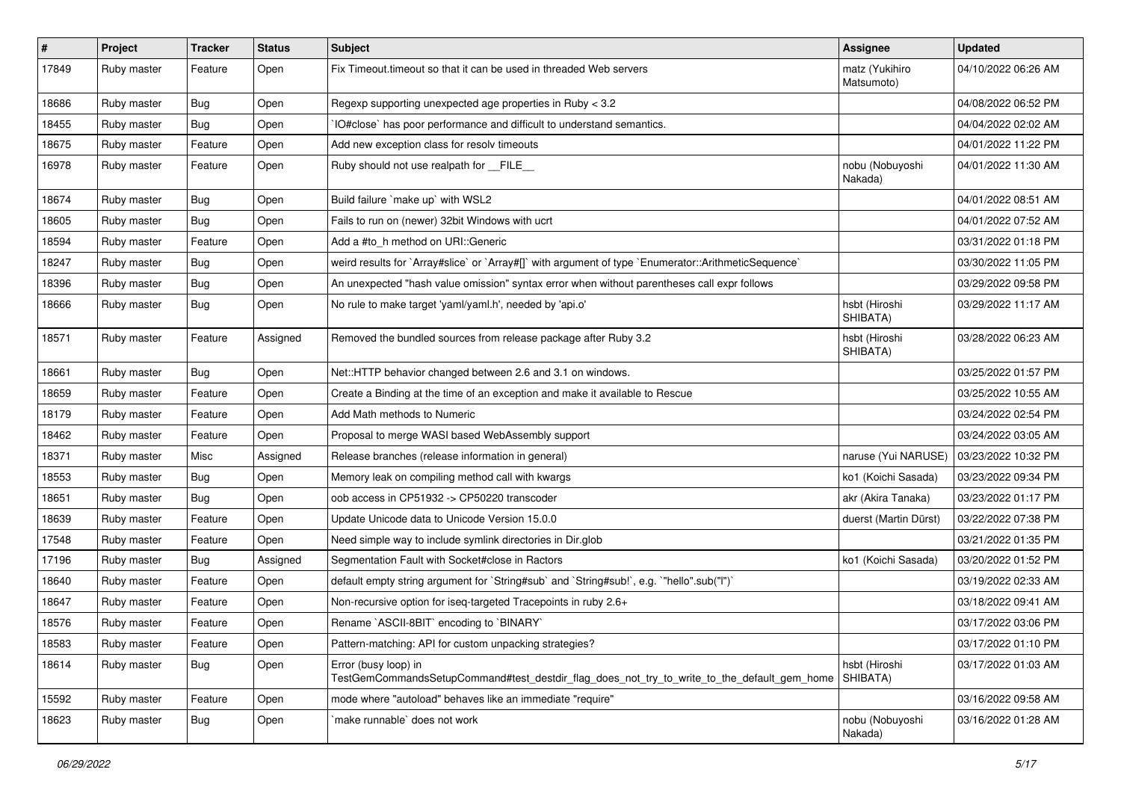| $\sharp$ | Project     | <b>Tracker</b> | <b>Status</b> | Subject                                                                                                             | Assignee                     | <b>Updated</b>      |
|----------|-------------|----------------|---------------|---------------------------------------------------------------------------------------------------------------------|------------------------------|---------------------|
| 17849    | Ruby master | Feature        | Open          | Fix Timeout timeout so that it can be used in threaded Web servers                                                  | matz (Yukihiro<br>Matsumoto) | 04/10/2022 06:26 AM |
| 18686    | Ruby master | Bug            | Open          | Regexp supporting unexpected age properties in Ruby < 3.2                                                           |                              | 04/08/2022 06:52 PM |
| 18455    | Ruby master | Bug            | Open          | IO#close` has poor performance and difficult to understand semantics.                                               |                              | 04/04/2022 02:02 AM |
| 18675    | Ruby master | Feature        | Open          | Add new exception class for resolv timeouts                                                                         |                              | 04/01/2022 11:22 PM |
| 16978    | Ruby master | Feature        | Open          | Ruby should not use realpath for __FILE__                                                                           | nobu (Nobuyoshi<br>Nakada)   | 04/01/2022 11:30 AM |
| 18674    | Ruby master | Bug            | Open          | Build failure `make up` with WSL2                                                                                   |                              | 04/01/2022 08:51 AM |
| 18605    | Ruby master | Bug            | Open          | Fails to run on (newer) 32bit Windows with ucrt                                                                     |                              | 04/01/2022 07:52 AM |
| 18594    | Ruby master | Feature        | Open          | Add a #to_h method on URI::Generic                                                                                  |                              | 03/31/2022 01:18 PM |
| 18247    | Ruby master | Bug            | Open          | weird results for `Array#slice` or `Array#[]` with argument of type `Enumerator::ArithmeticSequence`                |                              | 03/30/2022 11:05 PM |
| 18396    | Ruby master | Bug            | Open          | An unexpected "hash value omission" syntax error when without parentheses call expr follows                         |                              | 03/29/2022 09:58 PM |
| 18666    | Ruby master | Bug            | Open          | No rule to make target 'yaml/yaml.h', needed by 'api.o'                                                             | hsbt (Hiroshi<br>SHIBATA)    | 03/29/2022 11:17 AM |
| 18571    | Ruby master | Feature        | Assigned      | Removed the bundled sources from release package after Ruby 3.2                                                     | hsbt (Hiroshi<br>SHIBATA)    | 03/28/2022 06:23 AM |
| 18661    | Ruby master | Bug            | Open          | Net::HTTP behavior changed between 2.6 and 3.1 on windows.                                                          |                              | 03/25/2022 01:57 PM |
| 18659    | Ruby master | Feature        | Open          | Create a Binding at the time of an exception and make it available to Rescue                                        |                              | 03/25/2022 10:55 AM |
| 18179    | Ruby master | Feature        | Open          | Add Math methods to Numeric                                                                                         |                              | 03/24/2022 02:54 PM |
| 18462    | Ruby master | Feature        | Open          | Proposal to merge WASI based WebAssembly support                                                                    |                              | 03/24/2022 03:05 AM |
| 18371    | Ruby master | Misc           | Assigned      | Release branches (release information in general)                                                                   | naruse (Yui NARUSE)          | 03/23/2022 10:32 PM |
| 18553    | Ruby master | <b>Bug</b>     | Open          | Memory leak on compiling method call with kwargs                                                                    | ko1 (Koichi Sasada)          | 03/23/2022 09:34 PM |
| 18651    | Ruby master | <b>Bug</b>     | Open          | oob access in CP51932 -> CP50220 transcoder                                                                         | akr (Akira Tanaka)           | 03/23/2022 01:17 PM |
| 18639    | Ruby master | Feature        | Open          | Update Unicode data to Unicode Version 15.0.0                                                                       | duerst (Martin Dürst)        | 03/22/2022 07:38 PM |
| 17548    | Ruby master | Feature        | Open          | Need simple way to include symlink directories in Dir.glob                                                          |                              | 03/21/2022 01:35 PM |
| 17196    | Ruby master | Bug            | Assigned      | Segmentation Fault with Socket#close in Ractors                                                                     | ko1 (Koichi Sasada)          | 03/20/2022 01:52 PM |
| 18640    | Ruby master | Feature        | Open          | default empty string argument for `String#sub` and `String#sub!`, e.g. `"hello".sub("I")`                           |                              | 03/19/2022 02:33 AM |
| 18647    | Ruby master | Feature        | Open          | Non-recursive option for iseq-targeted Tracepoints in ruby 2.6+                                                     |                              | 03/18/2022 09:41 AM |
| 18576    | Ruby master | Feature        | Open          | Rename `ASCII-8BIT` encoding to `BINARY`                                                                            |                              | 03/17/2022 03:06 PM |
| 18583    | Ruby master | Feature        | Open          | Pattern-matching: API for custom unpacking strategies?                                                              |                              | 03/17/2022 01:10 PM |
| 18614    | Ruby master | <b>Bug</b>     | Open          | Error (busy loop) in<br>TestGemCommandsSetupCommand#test_destdir_flag_does_not_try_to_write_to_the_default_gem_home | hsbt (Hiroshi<br>SHIBATA)    | 03/17/2022 01:03 AM |
| 15592    | Ruby master | Feature        | Open          | mode where "autoload" behaves like an immediate "require"                                                           |                              | 03/16/2022 09:58 AM |
| 18623    | Ruby master | <b>Bug</b>     | Open          | make runnable' does not work                                                                                        | nobu (Nobuyoshi<br>Nakada)   | 03/16/2022 01:28 AM |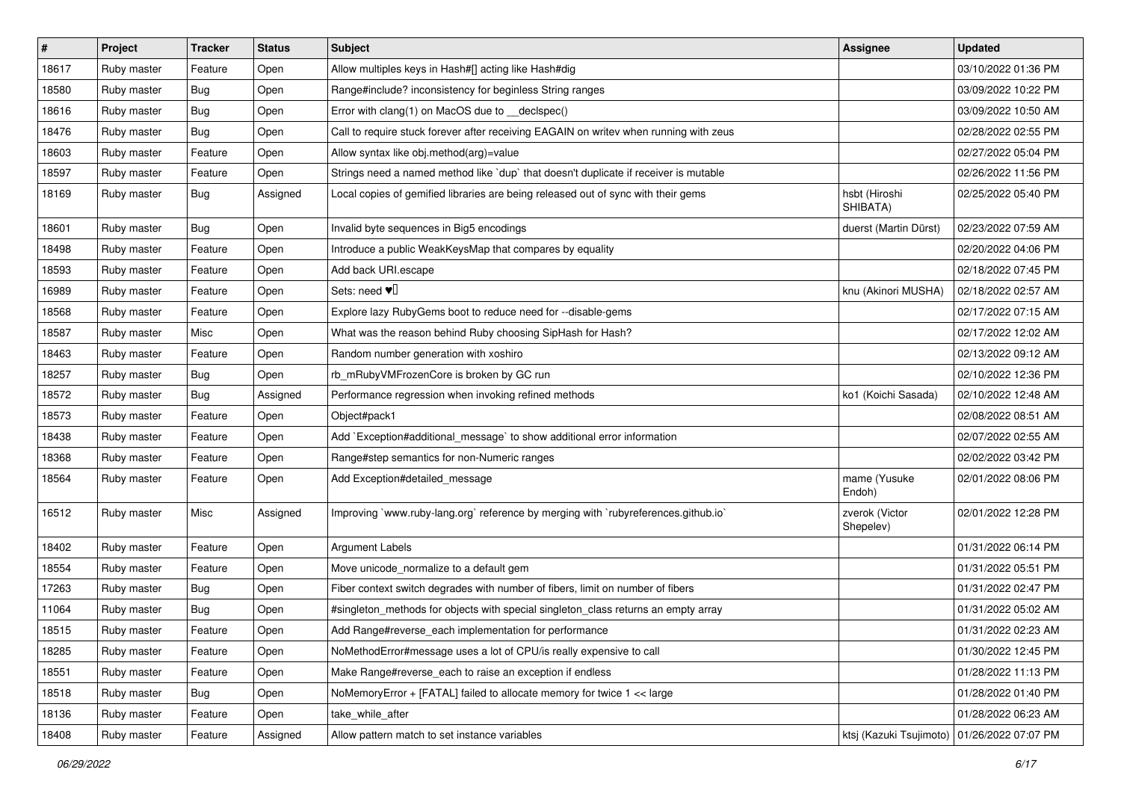| $\vert$ # | Project     | <b>Tracker</b> | <b>Status</b> | Subject                                                                               | <b>Assignee</b>                               | <b>Updated</b>      |
|-----------|-------------|----------------|---------------|---------------------------------------------------------------------------------------|-----------------------------------------------|---------------------|
| 18617     | Ruby master | Feature        | Open          | Allow multiples keys in Hash#[] acting like Hash#dig                                  |                                               | 03/10/2022 01:36 PM |
| 18580     | Ruby master | Bug            | Open          | Range#include? inconsistency for beginless String ranges                              |                                               | 03/09/2022 10:22 PM |
| 18616     | Ruby master | Bug            | Open          | Error with clang(1) on MacOS due to _declspec()                                       |                                               | 03/09/2022 10:50 AM |
| 18476     | Ruby master | Bug            | Open          | Call to require stuck forever after receiving EAGAIN on writev when running with zeus |                                               | 02/28/2022 02:55 PM |
| 18603     | Ruby master | Feature        | Open          | Allow syntax like obj.method(arg)=value                                               |                                               | 02/27/2022 05:04 PM |
| 18597     | Ruby master | Feature        | Open          | Strings need a named method like `dup` that doesn't duplicate if receiver is mutable  |                                               | 02/26/2022 11:56 PM |
| 18169     | Ruby master | Bug            | Assigned      | Local copies of gemified libraries are being released out of sync with their gems     | hsbt (Hiroshi<br>SHIBATA)                     | 02/25/2022 05:40 PM |
| 18601     | Ruby master | <b>Bug</b>     | Open          | Invalid byte sequences in Big5 encodings                                              | duerst (Martin Dürst)                         | 02/23/2022 07:59 AM |
| 18498     | Ruby master | Feature        | Open          | Introduce a public WeakKeysMap that compares by equality                              |                                               | 02/20/2022 04:06 PM |
| 18593     | Ruby master | Feature        | Open          | Add back URI.escape                                                                   |                                               | 02/18/2022 07:45 PM |
| 16989     | Ruby master | Feature        | Open          | Sets: need $\Psi$ <sup>[]</sup>                                                       | knu (Akinori MUSHA)                           | 02/18/2022 02:57 AM |
| 18568     | Ruby master | Feature        | Open          | Explore lazy RubyGems boot to reduce need for --disable-gems                          |                                               | 02/17/2022 07:15 AM |
| 18587     | Ruby master | Misc           | Open          | What was the reason behind Ruby choosing SipHash for Hash?                            |                                               | 02/17/2022 12:02 AM |
| 18463     | Ruby master | Feature        | Open          | Random number generation with xoshiro                                                 |                                               | 02/13/2022 09:12 AM |
| 18257     | Ruby master | Bug            | Open          | rb_mRubyVMFrozenCore is broken by GC run                                              |                                               | 02/10/2022 12:36 PM |
| 18572     | Ruby master | Bug            | Assigned      | Performance regression when invoking refined methods                                  | ko1 (Koichi Sasada)                           | 02/10/2022 12:48 AM |
| 18573     | Ruby master | Feature        | Open          | Object#pack1                                                                          |                                               | 02/08/2022 08:51 AM |
| 18438     | Ruby master | Feature        | Open          | Add `Exception#additional message` to show additional error information               |                                               | 02/07/2022 02:55 AM |
| 18368     | Ruby master | Feature        | Open          | Range#step semantics for non-Numeric ranges                                           |                                               | 02/02/2022 03:42 PM |
| 18564     | Ruby master | Feature        | Open          | Add Exception#detailed_message                                                        | mame (Yusuke<br>Endoh)                        | 02/01/2022 08:06 PM |
| 16512     | Ruby master | Misc           | Assigned      | Improving `www.ruby-lang.org` reference by merging with `rubyreferences.github.io`    | zverok (Victor<br>Shepelev)                   | 02/01/2022 12:28 PM |
| 18402     | Ruby master | Feature        | Open          | Argument Labels                                                                       |                                               | 01/31/2022 06:14 PM |
| 18554     | Ruby master | Feature        | Open          | Move unicode_normalize to a default gem                                               |                                               | 01/31/2022 05:51 PM |
| 17263     | Ruby master | Bug            | Open          | Fiber context switch degrades with number of fibers, limit on number of fibers        |                                               | 01/31/2022 02:47 PM |
| 11064     | Ruby master | <b>Bug</b>     | Open          | #singleton_methods for objects with special singleton_class returns an empty array    |                                               | 01/31/2022 05:02 AM |
| 18515     | Ruby master | Feature        | Open          | Add Range#reverse_each implementation for performance                                 |                                               | 01/31/2022 02:23 AM |
| 18285     | Ruby master | Feature        | Open          | NoMethodError#message uses a lot of CPU/is really expensive to call                   |                                               | 01/30/2022 12:45 PM |
| 18551     | Ruby master | Feature        | Open          | Make Range#reverse_each to raise an exception if endless                              |                                               | 01/28/2022 11:13 PM |
| 18518     | Ruby master | Bug            | Open          | NoMemoryError + [FATAL] failed to allocate memory for twice 1 << large                |                                               | 01/28/2022 01:40 PM |
| 18136     | Ruby master | Feature        | Open          | take while after                                                                      |                                               | 01/28/2022 06:23 AM |
| 18408     | Ruby master | Feature        | Assigned      | Allow pattern match to set instance variables                                         | ktsj (Kazuki Tsujimoto)   01/26/2022 07:07 PM |                     |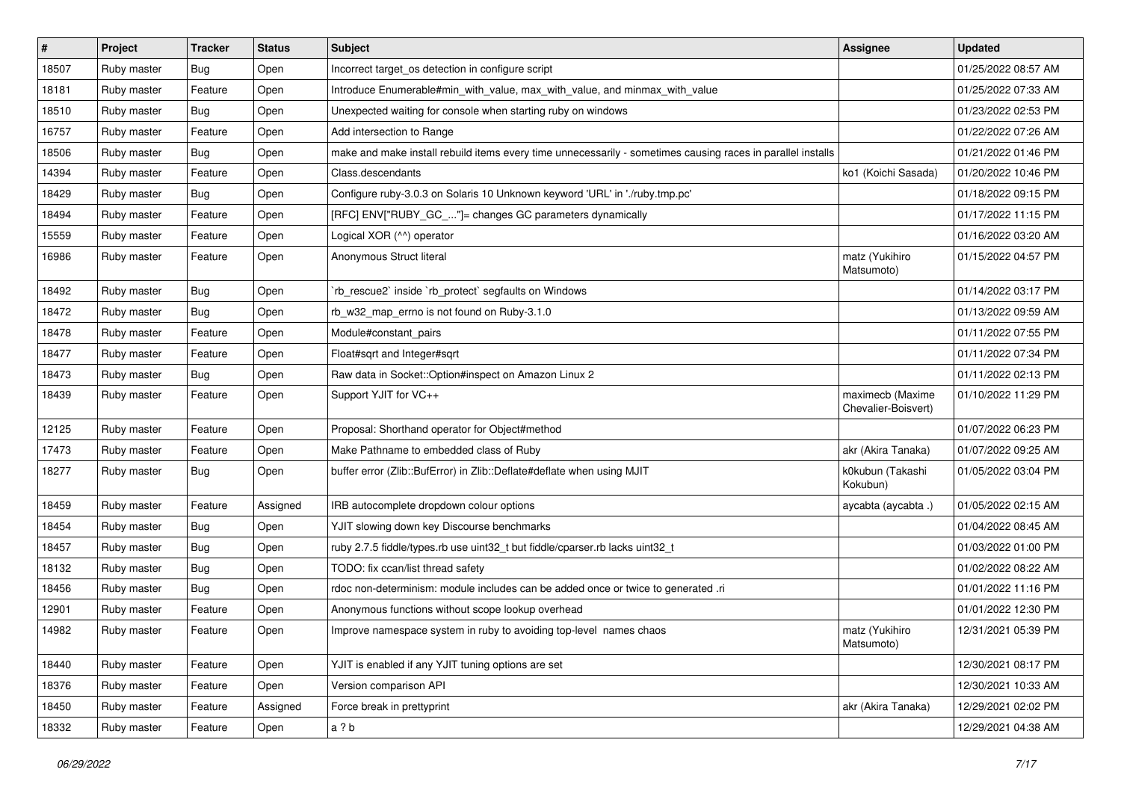| #     | Project     | <b>Tracker</b> | <b>Status</b> | <b>Subject</b>                                                                                              | Assignee                                | <b>Updated</b>      |
|-------|-------------|----------------|---------------|-------------------------------------------------------------------------------------------------------------|-----------------------------------------|---------------------|
| 18507 | Ruby master | Bug            | Open          | Incorrect target_os detection in configure script                                                           |                                         | 01/25/2022 08:57 AM |
| 18181 | Ruby master | Feature        | Open          | Introduce Enumerable#min_with_value, max_with_value, and minmax_with_value                                  |                                         | 01/25/2022 07:33 AM |
| 18510 | Ruby master | <b>Bug</b>     | Open          | Unexpected waiting for console when starting ruby on windows                                                |                                         | 01/23/2022 02:53 PM |
| 16757 | Ruby master | Feature        | Open          | Add intersection to Range                                                                                   |                                         | 01/22/2022 07:26 AM |
| 18506 | Ruby master | <b>Bug</b>     | Open          | make and make install rebuild items every time unnecessarily - sometimes causing races in parallel installs |                                         | 01/21/2022 01:46 PM |
| 14394 | Ruby master | Feature        | Open          | Class.descendants                                                                                           | ko1 (Koichi Sasada)                     | 01/20/2022 10:46 PM |
| 18429 | Ruby master | <b>Bug</b>     | Open          | Configure ruby-3.0.3 on Solaris 10 Unknown keyword 'URL' in './ruby.tmp.pc'                                 |                                         | 01/18/2022 09:15 PM |
| 18494 | Ruby master | Feature        | Open          | [RFC] ENV["RUBY_GC_"]= changes GC parameters dynamically                                                    |                                         | 01/17/2022 11:15 PM |
| 15559 | Ruby master | Feature        | Open          | Logical XOR (^^) operator                                                                                   |                                         | 01/16/2022 03:20 AM |
| 16986 | Ruby master | Feature        | Open          | Anonymous Struct literal                                                                                    | matz (Yukihiro<br>Matsumoto)            | 01/15/2022 04:57 PM |
| 18492 | Ruby master | Bug            | Open          | rb_rescue2` inside `rb_protect` segfaults on Windows                                                        |                                         | 01/14/2022 03:17 PM |
| 18472 | Ruby master | <b>Bug</b>     | Open          | rb_w32_map_errno is not found on Ruby-3.1.0                                                                 |                                         | 01/13/2022 09:59 AM |
| 18478 | Ruby master | Feature        | Open          | Module#constant pairs                                                                                       |                                         | 01/11/2022 07:55 PM |
| 18477 | Ruby master | Feature        | Open          | Float#sqrt and Integer#sqrt                                                                                 |                                         | 01/11/2022 07:34 PM |
| 18473 | Ruby master | <b>Bug</b>     | Open          | Raw data in Socket::Option#inspect on Amazon Linux 2                                                        |                                         | 01/11/2022 02:13 PM |
| 18439 | Ruby master | Feature        | Open          | Support YJIT for VC++                                                                                       | maximecb (Maxime<br>Chevalier-Boisvert) | 01/10/2022 11:29 PM |
| 12125 | Ruby master | Feature        | Open          | Proposal: Shorthand operator for Object#method                                                              |                                         | 01/07/2022 06:23 PM |
| 17473 | Ruby master | Feature        | Open          | Make Pathname to embedded class of Ruby                                                                     | akr (Akira Tanaka)                      | 01/07/2022 09:25 AM |
| 18277 | Ruby master | Bug            | Open          | buffer error (Zlib::BufError) in Zlib::Deflate#deflate when using MJIT                                      | k0kubun (Takashi<br>Kokubun)            | 01/05/2022 03:04 PM |
| 18459 | Ruby master | Feature        | Assigned      | IRB autocomplete dropdown colour options                                                                    | aycabta (aycabta.)                      | 01/05/2022 02:15 AM |
| 18454 | Ruby master | <b>Bug</b>     | Open          | YJIT slowing down key Discourse benchmarks                                                                  |                                         | 01/04/2022 08:45 AM |
| 18457 | Ruby master | Bug            | Open          | ruby 2.7.5 fiddle/types.rb use uint32_t but fiddle/cparser.rb lacks uint32_t                                |                                         | 01/03/2022 01:00 PM |
| 18132 | Ruby master | <b>Bug</b>     | Open          | TODO: fix ccan/list thread safety                                                                           |                                         | 01/02/2022 08:22 AM |
| 18456 | Ruby master | Bug            | Open          | rdoc non-determinism: module includes can be added once or twice to generated .ri                           |                                         | 01/01/2022 11:16 PM |
| 12901 | Ruby master | Feature        | Open          | Anonymous functions without scope lookup overhead                                                           |                                         | 01/01/2022 12:30 PM |
| 14982 | Ruby master | Feature        | Open          | Improve namespace system in ruby to avoiding top-level names chaos                                          | matz (Yukihiro<br>Matsumoto)            | 12/31/2021 05:39 PM |
| 18440 | Ruby master | Feature        | Open          | YJIT is enabled if any YJIT tuning options are set                                                          |                                         | 12/30/2021 08:17 PM |
| 18376 | Ruby master | Feature        | Open          | Version comparison API                                                                                      |                                         | 12/30/2021 10:33 AM |
| 18450 | Ruby master | Feature        | Assigned      | Force break in prettyprint                                                                                  | akr (Akira Tanaka)                      | 12/29/2021 02:02 PM |
| 18332 | Ruby master | Feature        | Open          | a?b                                                                                                         |                                         | 12/29/2021 04:38 AM |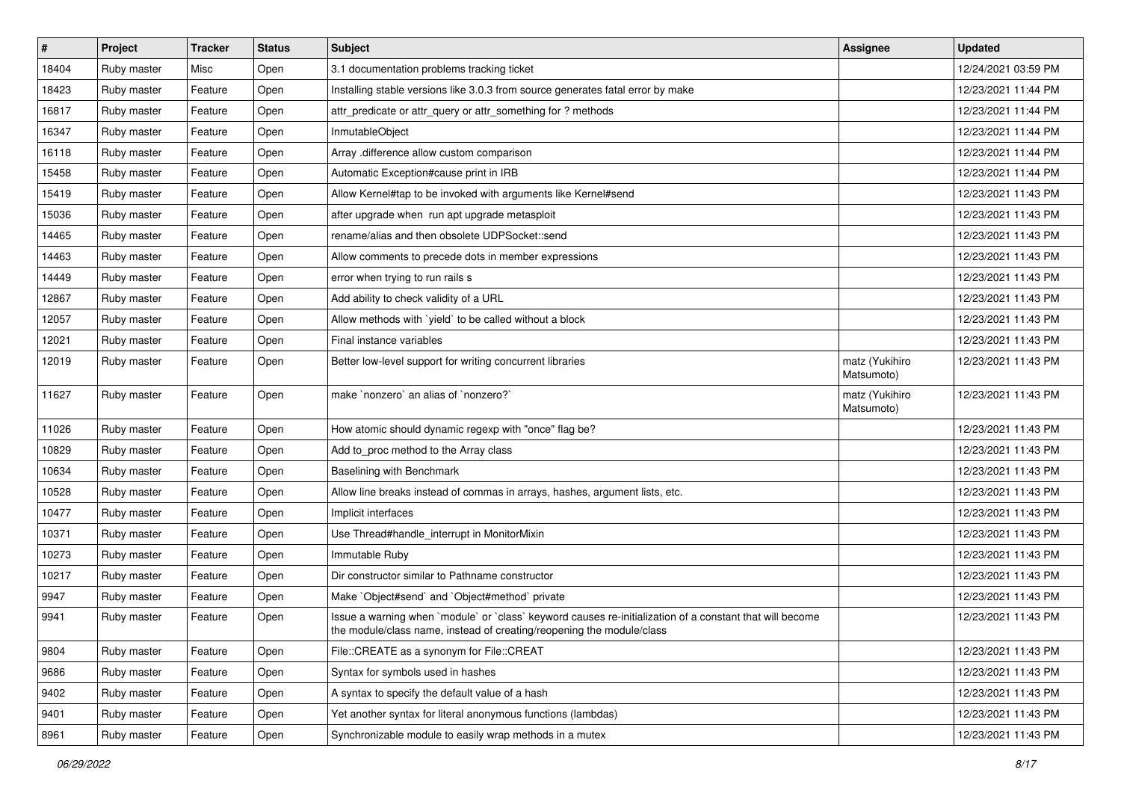| $\pmb{\#}$ | Project     | <b>Tracker</b> | <b>Status</b> | <b>Subject</b>                                                                                                                                                                    | <b>Assignee</b>              | <b>Updated</b>      |
|------------|-------------|----------------|---------------|-----------------------------------------------------------------------------------------------------------------------------------------------------------------------------------|------------------------------|---------------------|
| 18404      | Ruby master | Misc           | Open          | 3.1 documentation problems tracking ticket                                                                                                                                        |                              | 12/24/2021 03:59 PM |
| 18423      | Ruby master | Feature        | Open          | Installing stable versions like 3.0.3 from source generates fatal error by make                                                                                                   |                              | 12/23/2021 11:44 PM |
| 16817      | Ruby master | Feature        | Open          | attr_predicate or attr_query or attr_something for ? methods                                                                                                                      |                              | 12/23/2021 11:44 PM |
| 16347      | Ruby master | Feature        | Open          | InmutableObject                                                                                                                                                                   |                              | 12/23/2021 11:44 PM |
| 16118      | Ruby master | Feature        | Open          | Array .difference allow custom comparison                                                                                                                                         |                              | 12/23/2021 11:44 PM |
| 15458      | Ruby master | Feature        | Open          | Automatic Exception#cause print in IRB                                                                                                                                            |                              | 12/23/2021 11:44 PM |
| 15419      | Ruby master | Feature        | Open          | Allow Kernel#tap to be invoked with arguments like Kernel#send                                                                                                                    |                              | 12/23/2021 11:43 PM |
| 15036      | Ruby master | Feature        | Open          | after upgrade when run apt upgrade metasploit                                                                                                                                     |                              | 12/23/2021 11:43 PM |
| 14465      | Ruby master | Feature        | Open          | rename/alias and then obsolete UDPSocket::send                                                                                                                                    |                              | 12/23/2021 11:43 PM |
| 14463      | Ruby master | Feature        | Open          | Allow comments to precede dots in member expressions                                                                                                                              |                              | 12/23/2021 11:43 PM |
| 14449      | Ruby master | Feature        | Open          | error when trying to run rails s                                                                                                                                                  |                              | 12/23/2021 11:43 PM |
| 12867      | Ruby master | Feature        | Open          | Add ability to check validity of a URL                                                                                                                                            |                              | 12/23/2021 11:43 PM |
| 12057      | Ruby master | Feature        | Open          | Allow methods with `yield` to be called without a block                                                                                                                           |                              | 12/23/2021 11:43 PM |
| 12021      | Ruby master | Feature        | Open          | Final instance variables                                                                                                                                                          |                              | 12/23/2021 11:43 PM |
| 12019      | Ruby master | Feature        | Open          | Better low-level support for writing concurrent libraries                                                                                                                         | matz (Yukihiro<br>Matsumoto) | 12/23/2021 11:43 PM |
| 11627      | Ruby master | Feature        | Open          | make 'nonzero' an alias of 'nonzero?'                                                                                                                                             | matz (Yukihiro<br>Matsumoto) | 12/23/2021 11:43 PM |
| 11026      | Ruby master | Feature        | Open          | How atomic should dynamic regexp with "once" flag be?                                                                                                                             |                              | 12/23/2021 11:43 PM |
| 10829      | Ruby master | Feature        | Open          | Add to_proc method to the Array class                                                                                                                                             |                              | 12/23/2021 11:43 PM |
| 10634      | Ruby master | Feature        | Open          | Baselining with Benchmark                                                                                                                                                         |                              | 12/23/2021 11:43 PM |
| 10528      | Ruby master | Feature        | Open          | Allow line breaks instead of commas in arrays, hashes, argument lists, etc.                                                                                                       |                              | 12/23/2021 11:43 PM |
| 10477      | Ruby master | Feature        | Open          | Implicit interfaces                                                                                                                                                               |                              | 12/23/2021 11:43 PM |
| 10371      | Ruby master | Feature        | Open          | Use Thread#handle_interrupt in MonitorMixin                                                                                                                                       |                              | 12/23/2021 11:43 PM |
| 10273      | Ruby master | Feature        | Open          | Immutable Ruby                                                                                                                                                                    |                              | 12/23/2021 11:43 PM |
| 10217      | Ruby master | Feature        | Open          | Dir constructor similar to Pathname constructor                                                                                                                                   |                              | 12/23/2021 11:43 PM |
| 9947       | Ruby master | Feature        | Open          | Make `Object#send` and `Object#method` private                                                                                                                                    |                              | 12/23/2021 11:43 PM |
| 9941       | Ruby master | Feature        | Open          | Issue a warning when `module` or `class` keyword causes re-initialization of a constant that will become<br>the module/class name, instead of creating/reopening the module/class |                              | 12/23/2021 11:43 PM |
| 9804       | Ruby master | Feature        | Open          | File::CREATE as a synonym for File::CREAT                                                                                                                                         |                              | 12/23/2021 11:43 PM |
| 9686       | Ruby master | Feature        | Open          | Syntax for symbols used in hashes                                                                                                                                                 |                              | 12/23/2021 11:43 PM |
| 9402       | Ruby master | Feature        | Open          | A syntax to specify the default value of a hash                                                                                                                                   |                              | 12/23/2021 11:43 PM |
| 9401       | Ruby master | Feature        | Open          | Yet another syntax for literal anonymous functions (lambdas)                                                                                                                      |                              | 12/23/2021 11:43 PM |
| 8961       | Ruby master | Feature        | Open          | Synchronizable module to easily wrap methods in a mutex                                                                                                                           |                              | 12/23/2021 11:43 PM |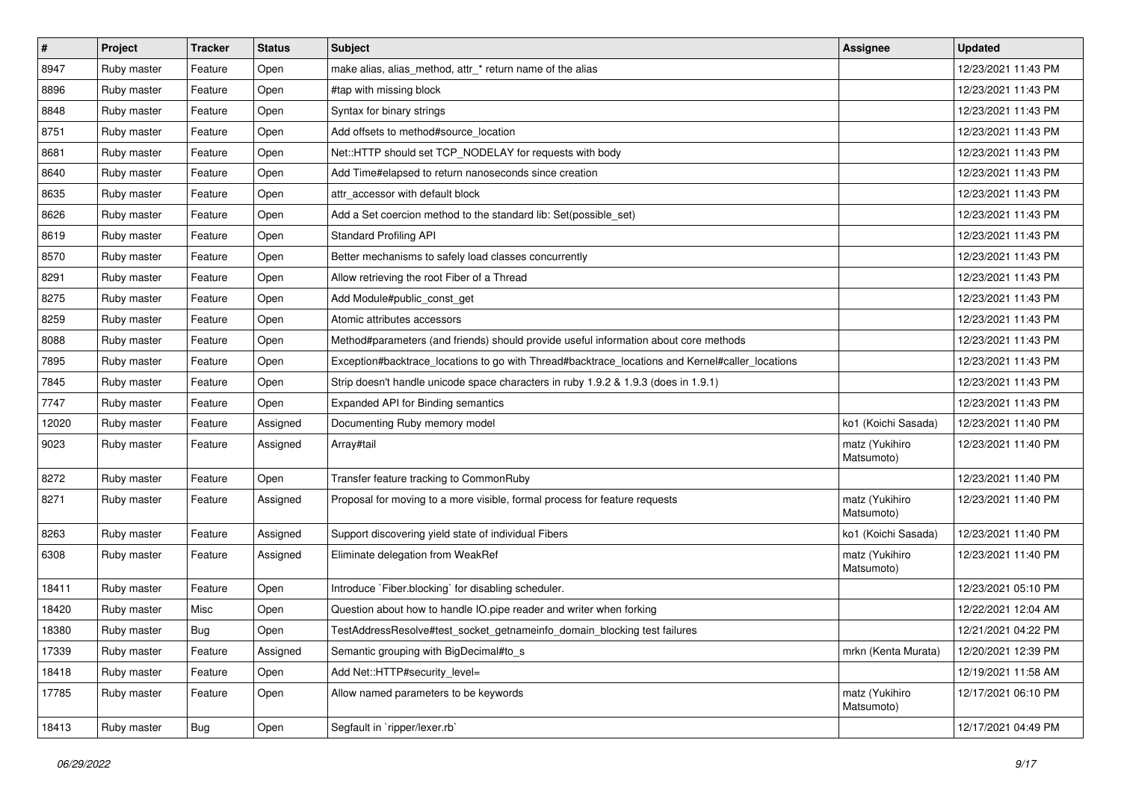| $\pmb{\#}$ | Project     | <b>Tracker</b> | <b>Status</b> | <b>Subject</b>                                                                                  | Assignee                     | <b>Updated</b>      |
|------------|-------------|----------------|---------------|-------------------------------------------------------------------------------------------------|------------------------------|---------------------|
| 8947       | Ruby master | Feature        | Open          | make alias, alias_method, attr_* return name of the alias                                       |                              | 12/23/2021 11:43 PM |
| 8896       | Ruby master | Feature        | Open          | #tap with missing block                                                                         |                              | 12/23/2021 11:43 PM |
| 8848       | Ruby master | Feature        | Open          | Syntax for binary strings                                                                       |                              | 12/23/2021 11:43 PM |
| 8751       | Ruby master | Feature        | Open          | Add offsets to method#source_location                                                           |                              | 12/23/2021 11:43 PM |
| 8681       | Ruby master | Feature        | Open          | Net::HTTP should set TCP_NODELAY for requests with body                                         |                              | 12/23/2021 11:43 PM |
| 8640       | Ruby master | Feature        | Open          | Add Time#elapsed to return nanoseconds since creation                                           |                              | 12/23/2021 11:43 PM |
| 8635       | Ruby master | Feature        | Open          | attr accessor with default block                                                                |                              | 12/23/2021 11:43 PM |
| 8626       | Ruby master | Feature        | Open          | Add a Set coercion method to the standard lib: Set (possible set)                               |                              | 12/23/2021 11:43 PM |
| 8619       | Ruby master | Feature        | Open          | <b>Standard Profiling API</b>                                                                   |                              | 12/23/2021 11:43 PM |
| 8570       | Ruby master | Feature        | Open          | Better mechanisms to safely load classes concurrently                                           |                              | 12/23/2021 11:43 PM |
| 8291       | Ruby master | Feature        | Open          | Allow retrieving the root Fiber of a Thread                                                     |                              | 12/23/2021 11:43 PM |
| 8275       | Ruby master | Feature        | Open          | Add Module#public_const_get                                                                     |                              | 12/23/2021 11:43 PM |
| 8259       | Ruby master | Feature        | Open          | Atomic attributes accessors                                                                     |                              | 12/23/2021 11:43 PM |
| 8088       | Ruby master | Feature        | Open          | Method#parameters (and friends) should provide useful information about core methods            |                              | 12/23/2021 11:43 PM |
| 7895       | Ruby master | Feature        | Open          | Exception#backtrace_locations to go with Thread#backtrace_locations and Kernel#caller_locations |                              | 12/23/2021 11:43 PM |
| 7845       | Ruby master | Feature        | Open          | Strip doesn't handle unicode space characters in ruby 1.9.2 & 1.9.3 (does in 1.9.1)             |                              | 12/23/2021 11:43 PM |
| 7747       | Ruby master | Feature        | Open          | Expanded API for Binding semantics                                                              |                              | 12/23/2021 11:43 PM |
| 12020      | Ruby master | Feature        | Assigned      | Documenting Ruby memory model                                                                   | ko1 (Koichi Sasada)          | 12/23/2021 11:40 PM |
| 9023       | Ruby master | Feature        | Assigned      | Array#tail                                                                                      | matz (Yukihiro<br>Matsumoto) | 12/23/2021 11:40 PM |
| 8272       | Ruby master | Feature        | Open          | Transfer feature tracking to CommonRuby                                                         |                              | 12/23/2021 11:40 PM |
| 8271       | Ruby master | Feature        | Assigned      | Proposal for moving to a more visible, formal process for feature requests                      | matz (Yukihiro<br>Matsumoto) | 12/23/2021 11:40 PM |
| 8263       | Ruby master | Feature        | Assigned      | Support discovering yield state of individual Fibers                                            | ko1 (Koichi Sasada)          | 12/23/2021 11:40 PM |
| 6308       | Ruby master | Feature        | Assigned      | Eliminate delegation from WeakRef                                                               | matz (Yukihiro<br>Matsumoto) | 12/23/2021 11:40 PM |
| 18411      | Ruby master | Feature        | Open          | Introduce `Fiber.blocking` for disabling scheduler.                                             |                              | 12/23/2021 05:10 PM |
| 18420      | Ruby master | Misc           | Open          | Question about how to handle IO.pipe reader and writer when forking                             |                              | 12/22/2021 12:04 AM |
| 18380      | Ruby master | Bug            | Open          | TestAddressResolve#test_socket_getnameinfo_domain_blocking test failures                        |                              | 12/21/2021 04:22 PM |
| 17339      | Ruby master | Feature        | Assigned      | Semantic grouping with BigDecimal#to_s                                                          | mrkn (Kenta Murata)          | 12/20/2021 12:39 PM |
| 18418      | Ruby master | Feature        | Open          | Add Net::HTTP#security_level=                                                                   |                              | 12/19/2021 11:58 AM |
| 17785      | Ruby master | Feature        | Open          | Allow named parameters to be keywords                                                           | matz (Yukihiro<br>Matsumoto) | 12/17/2021 06:10 PM |
| 18413      | Ruby master | <b>Bug</b>     | Open          | Segfault in `ripper/lexer.rb`                                                                   |                              | 12/17/2021 04:49 PM |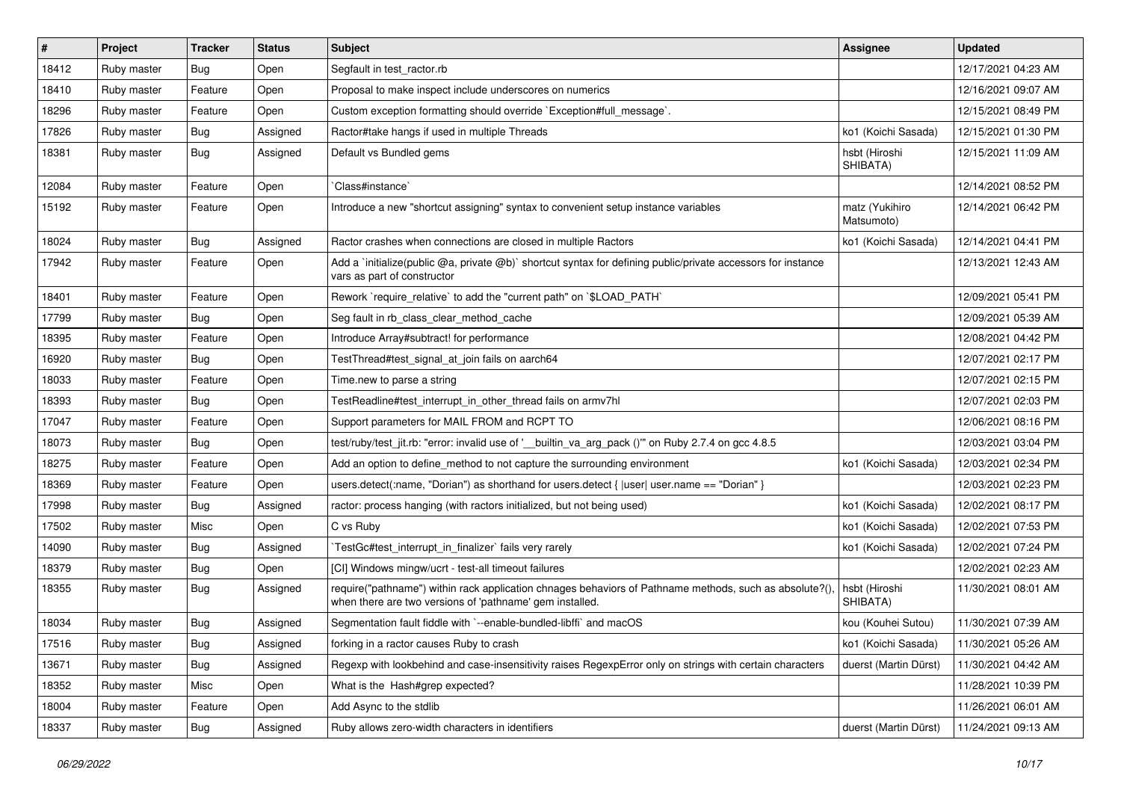| $\vert$ # | Project     | <b>Tracker</b> | <b>Status</b> | Subject                                                                                                                                                             | <b>Assignee</b>              | <b>Updated</b>      |
|-----------|-------------|----------------|---------------|---------------------------------------------------------------------------------------------------------------------------------------------------------------------|------------------------------|---------------------|
| 18412     | Ruby master | Bug            | Open          | Segfault in test_ractor.rb                                                                                                                                          |                              | 12/17/2021 04:23 AM |
| 18410     | Ruby master | Feature        | Open          | Proposal to make inspect include underscores on numerics                                                                                                            |                              | 12/16/2021 09:07 AM |
| 18296     | Ruby master | Feature        | Open          | Custom exception formatting should override `Exception#full_message`.                                                                                               |                              | 12/15/2021 08:49 PM |
| 17826     | Ruby master | <b>Bug</b>     | Assigned      | Ractor#take hangs if used in multiple Threads                                                                                                                       | ko1 (Koichi Sasada)          | 12/15/2021 01:30 PM |
| 18381     | Ruby master | <b>Bug</b>     | Assigned      | Default vs Bundled gems                                                                                                                                             | hsbt (Hiroshi<br>SHIBATA)    | 12/15/2021 11:09 AM |
| 12084     | Ruby master | Feature        | Open          | Class#instance`                                                                                                                                                     |                              | 12/14/2021 08:52 PM |
| 15192     | Ruby master | Feature        | Open          | Introduce a new "shortcut assigning" syntax to convenient setup instance variables                                                                                  | matz (Yukihiro<br>Matsumoto) | 12/14/2021 06:42 PM |
| 18024     | Ruby master | Bug            | Assigned      | Ractor crashes when connections are closed in multiple Ractors                                                                                                      | ko1 (Koichi Sasada)          | 12/14/2021 04:41 PM |
| 17942     | Ruby master | Feature        | Open          | Add a `initialize(public @a, private @b)` shortcut syntax for defining public/private accessors for instance<br>vars as part of constructor                         |                              | 12/13/2021 12:43 AM |
| 18401     | Ruby master | Feature        | Open          | Rework `require_relative` to add the "current path" on `\$LOAD_PATH`                                                                                                |                              | 12/09/2021 05:41 PM |
| 17799     | Ruby master | <b>Bug</b>     | Open          | Seg fault in rb class clear method cache                                                                                                                            |                              | 12/09/2021 05:39 AM |
| 18395     | Ruby master | Feature        | Open          | Introduce Array#subtract! for performance                                                                                                                           |                              | 12/08/2021 04:42 PM |
| 16920     | Ruby master | Bug            | Open          | TestThread#test_signal_at_join fails on aarch64                                                                                                                     |                              | 12/07/2021 02:17 PM |
| 18033     | Ruby master | Feature        | Open          | Time.new to parse a string                                                                                                                                          |                              | 12/07/2021 02:15 PM |
| 18393     | Ruby master | Bug            | Open          | TestReadline#test_interrupt_in_other_thread fails on armv7hl                                                                                                        |                              | 12/07/2021 02:03 PM |
| 17047     | Ruby master | Feature        | Open          | Support parameters for MAIL FROM and RCPT TO                                                                                                                        |                              | 12/06/2021 08:16 PM |
| 18073     | Ruby master | <b>Bug</b>     | Open          | test/ruby/test_jit.rb: "error: invalid use of '__builtin_va_arg_pack ()"' on Ruby 2.7.4 on gcc 4.8.5                                                                |                              | 12/03/2021 03:04 PM |
| 18275     | Ruby master | Feature        | Open          | Add an option to define_method to not capture the surrounding environment                                                                                           | ko1 (Koichi Sasada)          | 12/03/2021 02:34 PM |
| 18369     | Ruby master | Feature        | Open          | users.detect(:name, "Dorian") as shorthand for users.detect {  user  user.name == "Dorian" }                                                                        |                              | 12/03/2021 02:23 PM |
| 17998     | Ruby master | <b>Bug</b>     | Assigned      | ractor: process hanging (with ractors initialized, but not being used)                                                                                              | ko1 (Koichi Sasada)          | 12/02/2021 08:17 PM |
| 17502     | Ruby master | Misc           | Open          | C vs Ruby                                                                                                                                                           | ko1 (Koichi Sasada)          | 12/02/2021 07:53 PM |
| 14090     | Ruby master | <b>Bug</b>     | Assigned      | TestGc#test_interrupt_in_finalizer` fails very rarely                                                                                                               | ko1 (Koichi Sasada)          | 12/02/2021 07:24 PM |
| 18379     | Ruby master | <b>Bug</b>     | Open          | [CI] Windows mingw/ucrt - test-all timeout failures                                                                                                                 |                              | 12/02/2021 02:23 AM |
| 18355     | Ruby master | Bug            | Assigned      | require("pathname") within rack application chnages behaviors of Pathname methods, such as absolute?(),<br>when there are two versions of 'pathname' gem installed. | hsbt (Hiroshi<br>SHIBATA)    | 11/30/2021 08:01 AM |
| 18034     | Ruby master | <b>Bug</b>     | Assigned      | Segmentation fault fiddle with `--enable-bundled-libffi` and macOS                                                                                                  | kou (Kouhei Sutou)           | 11/30/2021 07:39 AM |
| 17516     | Ruby master | <b>Bug</b>     | Assigned      | forking in a ractor causes Ruby to crash                                                                                                                            | ko1 (Koichi Sasada)          | 11/30/2021 05:26 AM |
| 13671     | Ruby master | <b>Bug</b>     | Assigned      | Regexp with lookbehind and case-insensitivity raises RegexpError only on strings with certain characters                                                            | duerst (Martin Dürst)        | 11/30/2021 04:42 AM |
| 18352     | Ruby master | Misc           | Open          | What is the Hash#grep expected?                                                                                                                                     |                              | 11/28/2021 10:39 PM |
| 18004     | Ruby master | Feature        | Open          | Add Async to the stdlib                                                                                                                                             |                              | 11/26/2021 06:01 AM |
| 18337     | Ruby master | <b>Bug</b>     | Assigned      | Ruby allows zero-width characters in identifiers                                                                                                                    | duerst (Martin Dürst)        | 11/24/2021 09:13 AM |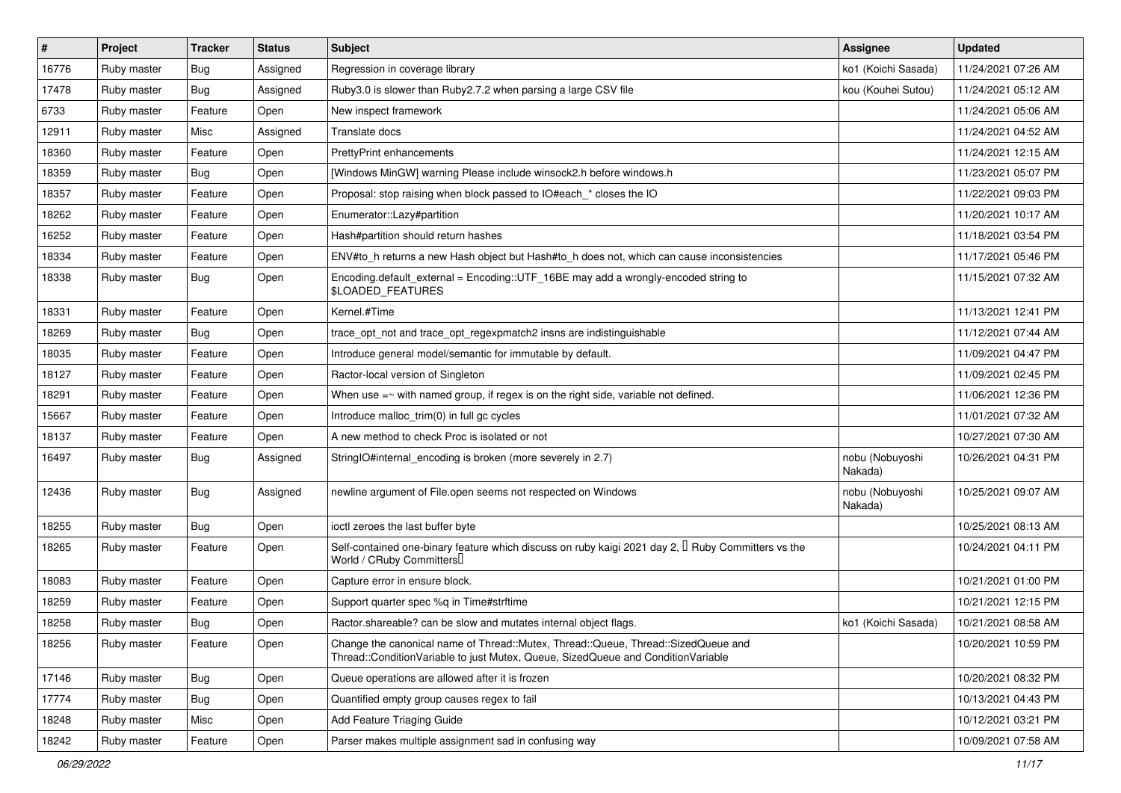| $\vert$ # | Project     | <b>Tracker</b> | <b>Status</b> | Subject                                                                                                                                                               | Assignee                   | <b>Updated</b>      |
|-----------|-------------|----------------|---------------|-----------------------------------------------------------------------------------------------------------------------------------------------------------------------|----------------------------|---------------------|
| 16776     | Ruby master | Bug            | Assigned      | Regression in coverage library                                                                                                                                        | ko1 (Koichi Sasada)        | 11/24/2021 07:26 AM |
| 17478     | Ruby master | <b>Bug</b>     | Assigned      | Ruby3.0 is slower than Ruby2.7.2 when parsing a large CSV file                                                                                                        | kou (Kouhei Sutou)         | 11/24/2021 05:12 AM |
| 6733      | Ruby master | Feature        | Open          | New inspect framework                                                                                                                                                 |                            | 11/24/2021 05:06 AM |
| 12911     | Ruby master | Misc           | Assigned      | Translate docs                                                                                                                                                        |                            | 11/24/2021 04:52 AM |
| 18360     | Ruby master | Feature        | Open          | <b>PrettyPrint enhancements</b>                                                                                                                                       |                            | 11/24/2021 12:15 AM |
| 18359     | Ruby master | <b>Bug</b>     | Open          | [Windows MinGW] warning Please include winsock2.h before windows.h                                                                                                    |                            | 11/23/2021 05:07 PM |
| 18357     | Ruby master | Feature        | Open          | Proposal: stop raising when block passed to IO#each_* closes the IO                                                                                                   |                            | 11/22/2021 09:03 PM |
| 18262     | Ruby master | Feature        | Open          | Enumerator::Lazy#partition                                                                                                                                            |                            | 11/20/2021 10:17 AM |
| 16252     | Ruby master | Feature        | Open          | Hash#partition should return hashes                                                                                                                                   |                            | 11/18/2021 03:54 PM |
| 18334     | Ruby master | Feature        | Open          | ENV#to_h returns a new Hash object but Hash#to_h does not, which can cause inconsistencies                                                                            |                            | 11/17/2021 05:46 PM |
| 18338     | Ruby master | Bug            | Open          | Encoding.default_external = Encoding::UTF_16BE may add a wrongly-encoded string to<br>\$LOADED_FEATURES                                                               |                            | 11/15/2021 07:32 AM |
| 18331     | Ruby master | Feature        | Open          | Kernel.#Time                                                                                                                                                          |                            | 11/13/2021 12:41 PM |
| 18269     | Ruby master | Bug            | Open          | trace opt not and trace opt regexpmatch2 insns are indistinguishable                                                                                                  |                            | 11/12/2021 07:44 AM |
| 18035     | Ruby master | Feature        | Open          | Introduce general model/semantic for immutable by default.                                                                                                            |                            | 11/09/2021 04:47 PM |
| 18127     | Ruby master | Feature        | Open          | Ractor-local version of Singleton                                                                                                                                     |                            | 11/09/2021 02:45 PM |
| 18291     | Ruby master | Feature        | Open          | When use $=\sim$ with named group, if regex is on the right side, variable not defined.                                                                               |                            | 11/06/2021 12:36 PM |
| 15667     | Ruby master | Feature        | Open          | Introduce malloc_trim(0) in full gc cycles                                                                                                                            |                            | 11/01/2021 07:32 AM |
| 18137     | Ruby master | Feature        | Open          | A new method to check Proc is isolated or not                                                                                                                         |                            | 10/27/2021 07:30 AM |
| 16497     | Ruby master | Bug            | Assigned      | StringIO#internal_encoding is broken (more severely in 2.7)                                                                                                           | nobu (Nobuyoshi<br>Nakada) | 10/26/2021 04:31 PM |
| 12436     | Ruby master | <b>Bug</b>     | Assigned      | newline argument of File.open seems not respected on Windows                                                                                                          | nobu (Nobuyoshi<br>Nakada) | 10/25/2021 09:07 AM |
| 18255     | Ruby master | Bug            | Open          | ioctl zeroes the last buffer byte                                                                                                                                     |                            | 10/25/2021 08:13 AM |
| 18265     | Ruby master | Feature        | Open          | Self-contained one-binary feature which discuss on ruby kaigi 2021 day 2, $\mathbb I$ Ruby Committers vs the<br>World / CRuby Committers                              |                            | 10/24/2021 04:11 PM |
| 18083     | Ruby master | Feature        | Open          | Capture error in ensure block.                                                                                                                                        |                            | 10/21/2021 01:00 PM |
| 18259     | Ruby master | Feature        | Open          | Support quarter spec %q in Time#strftime                                                                                                                              |                            | 10/21/2021 12:15 PM |
| 18258     | Ruby master | <b>Bug</b>     | Open          | Ractor shareable? can be slow and mutates internal object flags.                                                                                                      | ko1 (Koichi Sasada)        | 10/21/2021 08:58 AM |
| 18256     | Ruby master | Feature        | Open          | Change the canonical name of Thread::Mutex, Thread::Queue, Thread::SizedQueue and<br>Thread::ConditionVariable to just Mutex, Queue, SizedQueue and ConditionVariable |                            | 10/20/2021 10:59 PM |
| 17146     | Ruby master | <b>Bug</b>     | Open          | Queue operations are allowed after it is frozen                                                                                                                       |                            | 10/20/2021 08:32 PM |
| 17774     | Ruby master | <b>Bug</b>     | Open          | Quantified empty group causes regex to fail                                                                                                                           |                            | 10/13/2021 04:43 PM |
| 18248     | Ruby master | Misc           | Open          | Add Feature Triaging Guide                                                                                                                                            |                            | 10/12/2021 03:21 PM |
| 18242     | Ruby master | Feature        | Open          | Parser makes multiple assignment sad in confusing way                                                                                                                 |                            | 10/09/2021 07:58 AM |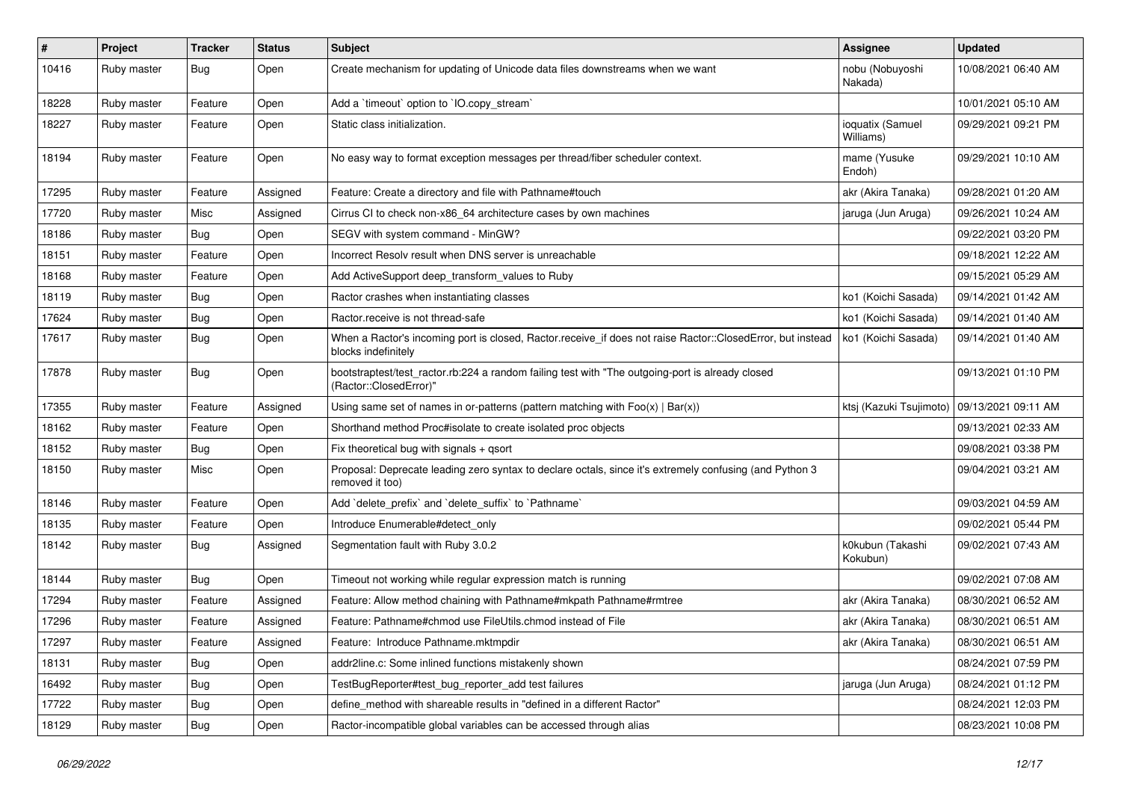| $\pmb{\#}$ | Project     | <b>Tracker</b> | <b>Status</b> | <b>Subject</b>                                                                                                                    | Assignee                      | <b>Updated</b>      |
|------------|-------------|----------------|---------------|-----------------------------------------------------------------------------------------------------------------------------------|-------------------------------|---------------------|
| 10416      | Ruby master | <b>Bug</b>     | Open          | Create mechanism for updating of Unicode data files downstreams when we want                                                      | nobu (Nobuyoshi<br>Nakada)    | 10/08/2021 06:40 AM |
| 18228      | Ruby master | Feature        | Open          | Add a 'timeout' option to 'IO.copy stream'                                                                                        |                               | 10/01/2021 05:10 AM |
| 18227      | Ruby master | Feature        | Open          | Static class initialization.                                                                                                      | ioquatix (Samuel<br>Williams) | 09/29/2021 09:21 PM |
| 18194      | Ruby master | Feature        | Open          | No easy way to format exception messages per thread/fiber scheduler context.                                                      | mame (Yusuke<br>Endoh)        | 09/29/2021 10:10 AM |
| 17295      | Ruby master | Feature        | Assigned      | Feature: Create a directory and file with Pathname#touch                                                                          | akr (Akira Tanaka)            | 09/28/2021 01:20 AM |
| 17720      | Ruby master | Misc           | Assigned      | Cirrus CI to check non-x86_64 architecture cases by own machines                                                                  | jaruga (Jun Aruga)            | 09/26/2021 10:24 AM |
| 18186      | Ruby master | <b>Bug</b>     | Open          | SEGV with system command - MinGW?                                                                                                 |                               | 09/22/2021 03:20 PM |
| 18151      | Ruby master | Feature        | Open          | Incorrect Resolv result when DNS server is unreachable                                                                            |                               | 09/18/2021 12:22 AM |
| 18168      | Ruby master | Feature        | Open          | Add ActiveSupport deep_transform_values to Ruby                                                                                   |                               | 09/15/2021 05:29 AM |
| 18119      | Ruby master | <b>Bug</b>     | Open          | Ractor crashes when instantiating classes                                                                                         | ko1 (Koichi Sasada)           | 09/14/2021 01:42 AM |
| 17624      | Ruby master | <b>Bug</b>     | Open          | Ractor.receive is not thread-safe                                                                                                 | ko1 (Koichi Sasada)           | 09/14/2021 01:40 AM |
| 17617      | Ruby master | <b>Bug</b>     | Open          | When a Ractor's incoming port is closed, Ractor.receive_if does not raise Ractor::ClosedError, but instead<br>blocks indefinitely | ko1 (Koichi Sasada)           | 09/14/2021 01:40 AM |
| 17878      | Ruby master | <b>Bug</b>     | Open          | bootstraptest/test_ractor.rb:224 a random failing test with "The outgoing-port is already closed<br>(Ractor::ClosedError)"        |                               | 09/13/2021 01:10 PM |
| 17355      | Ruby master | Feature        | Assigned      | Using same set of names in or-patterns (pattern matching with $Foo(x)   Bar(x)$ )                                                 | ktsj (Kazuki Tsujimoto)       | 09/13/2021 09:11 AM |
| 18162      | Ruby master | Feature        | Open          | Shorthand method Proc#isolate to create isolated proc objects                                                                     |                               | 09/13/2021 02:33 AM |
| 18152      | Ruby master | Bug            | Open          | Fix theoretical bug with signals + qsort                                                                                          |                               | 09/08/2021 03:38 PM |
| 18150      | Ruby master | Misc           | Open          | Proposal: Deprecate leading zero syntax to declare octals, since it's extremely confusing (and Python 3<br>removed it too)        |                               | 09/04/2021 03:21 AM |
| 18146      | Ruby master | Feature        | Open          | Add 'delete_prefix' and 'delete_suffix' to 'Pathname'                                                                             |                               | 09/03/2021 04:59 AM |
| 18135      | Ruby master | Feature        | Open          | Introduce Enumerable#detect_only                                                                                                  |                               | 09/02/2021 05:44 PM |
| 18142      | Ruby master | <b>Bug</b>     | Assigned      | Segmentation fault with Ruby 3.0.2                                                                                                | k0kubun (Takashi<br>Kokubun)  | 09/02/2021 07:43 AM |
| 18144      | Ruby master | <b>Bug</b>     | Open          | Timeout not working while regular expression match is running                                                                     |                               | 09/02/2021 07:08 AM |
| 17294      | Ruby master | Feature        | Assigned      | Feature: Allow method chaining with Pathname#mkpath Pathname#rmtree                                                               | akr (Akira Tanaka)            | 08/30/2021 06:52 AM |
| 17296      | Ruby master | Feature        | Assigned      | Feature: Pathname#chmod use FileUtils.chmod instead of File                                                                       | akr (Akira Tanaka)            | 08/30/2021 06:51 AM |
| 17297      | Ruby master | Feature        | Assigned      | Feature: Introduce Pathname.mktmpdir                                                                                              | akr (Akira Tanaka)            | 08/30/2021 06:51 AM |
| 18131      | Ruby master | <b>Bug</b>     | Open          | addr2line.c: Some inlined functions mistakenly shown                                                                              |                               | 08/24/2021 07:59 PM |
| 16492      | Ruby master | <b>Bug</b>     | Open          | TestBugReporter#test_bug_reporter_add test failures                                                                               | jaruga (Jun Aruga)            | 08/24/2021 01:12 PM |
| 17722      | Ruby master | <b>Bug</b>     | Open          | define method with shareable results in "defined in a different Ractor"                                                           |                               | 08/24/2021 12:03 PM |
| 18129      | Ruby master | <b>Bug</b>     | Open          | Ractor-incompatible global variables can be accessed through alias                                                                |                               | 08/23/2021 10:08 PM |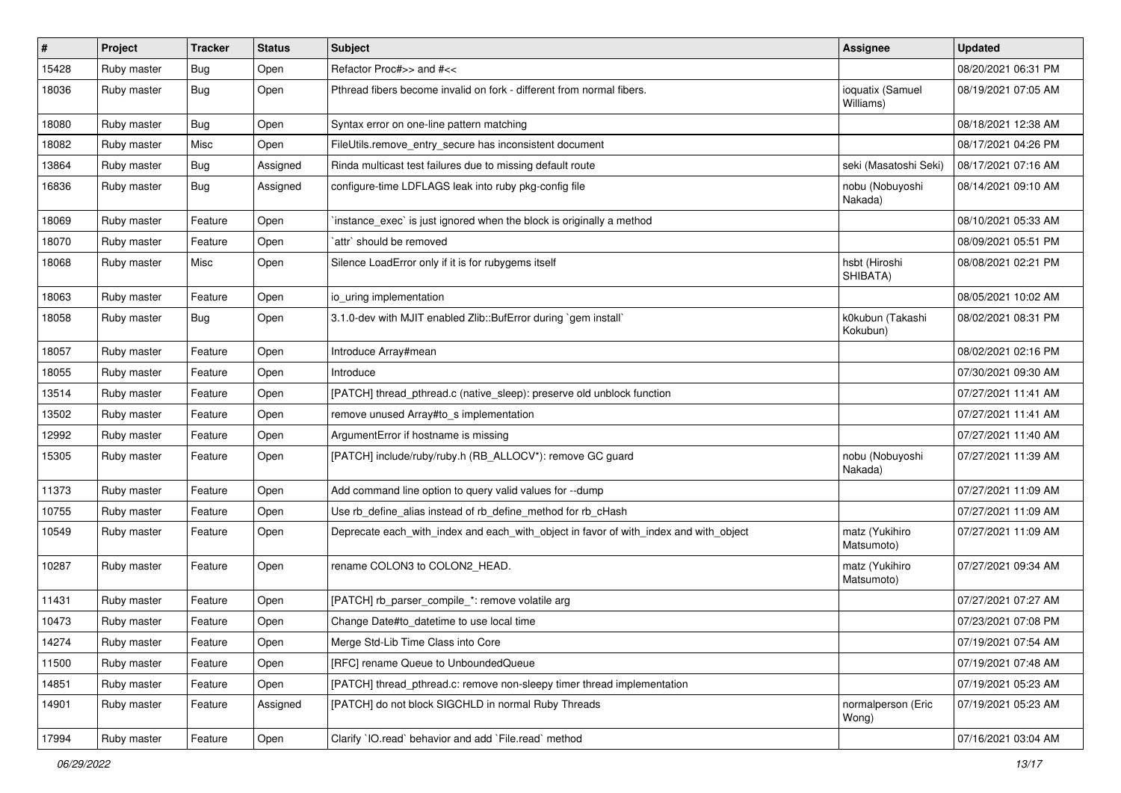| $\vert$ # | Project     | <b>Tracker</b> | <b>Status</b> | Subject                                                                               | Assignee                      | <b>Updated</b>      |
|-----------|-------------|----------------|---------------|---------------------------------------------------------------------------------------|-------------------------------|---------------------|
| 15428     | Ruby master | <b>Bug</b>     | Open          | Refactor Proc#>> and #<<                                                              |                               | 08/20/2021 06:31 PM |
| 18036     | Ruby master | <b>Bug</b>     | Open          | Pthread fibers become invalid on fork - different from normal fibers.                 | ioquatix (Samuel<br>Williams) | 08/19/2021 07:05 AM |
| 18080     | Ruby master | <b>Bug</b>     | Open          | Syntax error on one-line pattern matching                                             |                               | 08/18/2021 12:38 AM |
| 18082     | Ruby master | Misc           | Open          | FileUtils.remove_entry_secure has inconsistent document                               |                               | 08/17/2021 04:26 PM |
| 13864     | Ruby master | <b>Bug</b>     | Assigned      | Rinda multicast test failures due to missing default route                            | seki (Masatoshi Seki)         | 08/17/2021 07:16 AM |
| 16836     | Ruby master | <b>Bug</b>     | Assigned      | configure-time LDFLAGS leak into ruby pkg-config file                                 | nobu (Nobuyoshi<br>Nakada)    | 08/14/2021 09:10 AM |
| 18069     | Ruby master | Feature        | Open          | instance_exec` is just ignored when the block is originally a method                  |                               | 08/10/2021 05:33 AM |
| 18070     | Ruby master | Feature        | Open          | `attr` should be removed                                                              |                               | 08/09/2021 05:51 PM |
| 18068     | Ruby master | Misc           | Open          | Silence LoadError only if it is for rubygems itself                                   | hsbt (Hiroshi<br>SHIBATA)     | 08/08/2021 02:21 PM |
| 18063     | Ruby master | Feature        | Open          | io_uring implementation                                                               |                               | 08/05/2021 10:02 AM |
| 18058     | Ruby master | <b>Bug</b>     | Open          | 3.1.0-dev with MJIT enabled Zlib::BufError during `gem install`                       | k0kubun (Takashi<br>Kokubun)  | 08/02/2021 08:31 PM |
| 18057     | Ruby master | Feature        | Open          | Introduce Array#mean                                                                  |                               | 08/02/2021 02:16 PM |
| 18055     | Ruby master | Feature        | Open          | Introduce                                                                             |                               | 07/30/2021 09:30 AM |
| 13514     | Ruby master | Feature        | Open          | [PATCH] thread_pthread.c (native_sleep): preserve old unblock function                |                               | 07/27/2021 11:41 AM |
| 13502     | Ruby master | Feature        | Open          | remove unused Array#to_s implementation                                               |                               | 07/27/2021 11:41 AM |
| 12992     | Ruby master | Feature        | Open          | ArgumentError if hostname is missing                                                  |                               | 07/27/2021 11:40 AM |
| 15305     | Ruby master | Feature        | Open          | [PATCH] include/ruby/ruby.h (RB_ALLOCV*): remove GC guard                             | nobu (Nobuyoshi<br>Nakada)    | 07/27/2021 11:39 AM |
| 11373     | Ruby master | Feature        | Open          | Add command line option to query valid values for --dump                              |                               | 07/27/2021 11:09 AM |
| 10755     | Ruby master | Feature        | Open          | Use rb_define_alias instead of rb_define_method for rb_cHash                          |                               | 07/27/2021 11:09 AM |
| 10549     | Ruby master | Feature        | Open          | Deprecate each_with_index and each_with_object in favor of with_index and with_object | matz (Yukihiro<br>Matsumoto)  | 07/27/2021 11:09 AM |
| 10287     | Ruby master | Feature        | Open          | rename COLON3 to COLON2_HEAD.                                                         | matz (Yukihiro<br>Matsumoto)  | 07/27/2021 09:34 AM |
| 11431     | Ruby master | Feature        | Open          | [PATCH] rb_parser_compile_*: remove volatile arg                                      |                               | 07/27/2021 07:27 AM |
| 10473     | Ruby master | Feature        | Open          | Change Date#to_datetime to use local time                                             |                               | 07/23/2021 07:08 PM |
| 14274     | Ruby master | Feature        | Open          | Merge Std-Lib Time Class into Core                                                    |                               | 07/19/2021 07:54 AM |
| 11500     | Ruby master | Feature        | Open          | [RFC] rename Queue to UnboundedQueue                                                  |                               | 07/19/2021 07:48 AM |
| 14851     | Ruby master | Feature        | Open          | [PATCH] thread_pthread.c: remove non-sleepy timer thread implementation               |                               | 07/19/2021 05:23 AM |
| 14901     | Ruby master | Feature        | Assigned      | [PATCH] do not block SIGCHLD in normal Ruby Threads                                   | normalperson (Eric<br>Wong)   | 07/19/2021 05:23 AM |
| 17994     | Ruby master | Feature        | Open          | Clarify `IO.read` behavior and add `File.read` method                                 |                               | 07/16/2021 03:04 AM |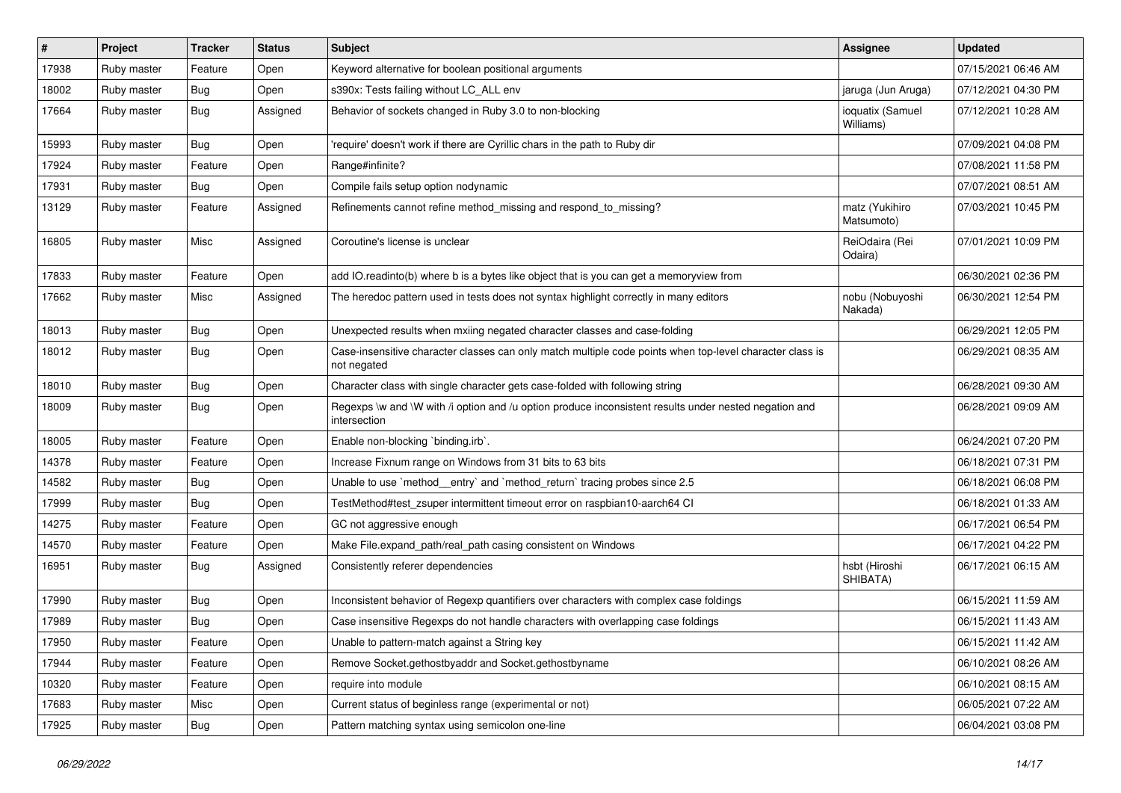| $\vert$ # | Project     | <b>Tracker</b> | <b>Status</b> | <b>Subject</b>                                                                                                          | Assignee                      | <b>Updated</b>      |
|-----------|-------------|----------------|---------------|-------------------------------------------------------------------------------------------------------------------------|-------------------------------|---------------------|
| 17938     | Ruby master | Feature        | Open          | Keyword alternative for boolean positional arguments                                                                    |                               | 07/15/2021 06:46 AM |
| 18002     | Ruby master | <b>Bug</b>     | Open          | s390x: Tests failing without LC_ALL env                                                                                 | jaruga (Jun Aruga)            | 07/12/2021 04:30 PM |
| 17664     | Ruby master | Bug            | Assigned      | Behavior of sockets changed in Ruby 3.0 to non-blocking                                                                 | ioquatix (Samuel<br>Williams) | 07/12/2021 10:28 AM |
| 15993     | Ruby master | Bug            | Open          | 'require' doesn't work if there are Cyrillic chars in the path to Ruby dir                                              |                               | 07/09/2021 04:08 PM |
| 17924     | Ruby master | Feature        | Open          | Range#infinite?                                                                                                         |                               | 07/08/2021 11:58 PM |
| 17931     | Ruby master | <b>Bug</b>     | Open          | Compile fails setup option nodynamic                                                                                    |                               | 07/07/2021 08:51 AM |
| 13129     | Ruby master | Feature        | Assigned      | Refinements cannot refine method_missing and respond_to_missing?                                                        | matz (Yukihiro<br>Matsumoto)  | 07/03/2021 10:45 PM |
| 16805     | Ruby master | Misc           | Assigned      | Coroutine's license is unclear                                                                                          | ReiOdaira (Rei<br>Odaira)     | 07/01/2021 10:09 PM |
| 17833     | Ruby master | Feature        | Open          | add IO.readinto(b) where b is a bytes like object that is you can get a memoryview from                                 |                               | 06/30/2021 02:36 PM |
| 17662     | Ruby master | Misc           | Assigned      | The heredoc pattern used in tests does not syntax highlight correctly in many editors                                   | nobu (Nobuyoshi<br>Nakada)    | 06/30/2021 12:54 PM |
| 18013     | Ruby master | Bug            | Open          | Unexpected results when mxiing negated character classes and case-folding                                               |                               | 06/29/2021 12:05 PM |
| 18012     | Ruby master | <b>Bug</b>     | Open          | Case-insensitive character classes can only match multiple code points when top-level character class is<br>not negated |                               | 06/29/2021 08:35 AM |
| 18010     | Ruby master | <b>Bug</b>     | Open          | Character class with single character gets case-folded with following string                                            |                               | 06/28/2021 09:30 AM |
| 18009     | Ruby master | <b>Bug</b>     | Open          | Regexps \w and \W with /i option and /u option produce inconsistent results under nested negation and<br>intersection   |                               | 06/28/2021 09:09 AM |
| 18005     | Ruby master | Feature        | Open          | Enable non-blocking 'binding.irb'.                                                                                      |                               | 06/24/2021 07:20 PM |
| 14378     | Ruby master | Feature        | Open          | Increase Fixnum range on Windows from 31 bits to 63 bits                                                                |                               | 06/18/2021 07:31 PM |
| 14582     | Ruby master | <b>Bug</b>     | Open          | Unable to use `method_entry` and `method_return` tracing probes since 2.5                                               |                               | 06/18/2021 06:08 PM |
| 17999     | Ruby master | <b>Bug</b>     | Open          | TestMethod#test_zsuper intermittent timeout error on raspbian10-aarch64 Cl                                              |                               | 06/18/2021 01:33 AM |
| 14275     | Ruby master | Feature        | Open          | GC not aggressive enough                                                                                                |                               | 06/17/2021 06:54 PM |
| 14570     | Ruby master | Feature        | Open          | Make File.expand_path/real_path casing consistent on Windows                                                            |                               | 06/17/2021 04:22 PM |
| 16951     | Ruby master | Bug            | Assigned      | Consistently referer dependencies                                                                                       | hsbt (Hiroshi<br>SHIBATA)     | 06/17/2021 06:15 AM |
| 17990     | Ruby master | <b>Bug</b>     | Open          | Inconsistent behavior of Regexp quantifiers over characters with complex case foldings                                  |                               | 06/15/2021 11:59 AM |
| 17989     | Ruby master | <b>Bug</b>     | Open          | Case insensitive Regexps do not handle characters with overlapping case foldings                                        |                               | 06/15/2021 11:43 AM |
| 17950     | Ruby master | Feature        | Open          | Unable to pattern-match against a String key                                                                            |                               | 06/15/2021 11:42 AM |
| 17944     | Ruby master | Feature        | Open          | Remove Socket.gethostbyaddr and Socket.gethostbyname                                                                    |                               | 06/10/2021 08:26 AM |
| 10320     | Ruby master | Feature        | Open          | require into module                                                                                                     |                               | 06/10/2021 08:15 AM |
| 17683     | Ruby master | Misc           | Open          | Current status of beginless range (experimental or not)                                                                 |                               | 06/05/2021 07:22 AM |
| 17925     | Ruby master | <b>Bug</b>     | Open          | Pattern matching syntax using semicolon one-line                                                                        |                               | 06/04/2021 03:08 PM |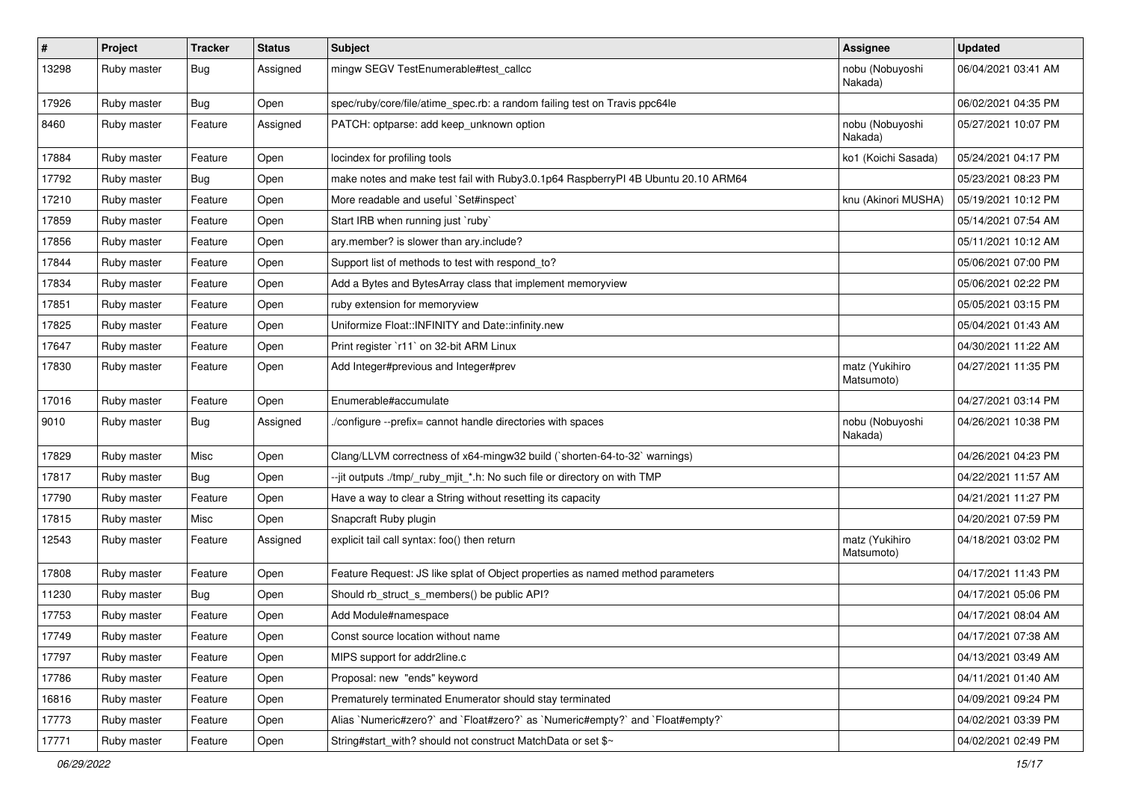| $\sharp$ | Project     | <b>Tracker</b> | <b>Status</b> | <b>Subject</b>                                                                    | <b>Assignee</b>              | <b>Updated</b>      |
|----------|-------------|----------------|---------------|-----------------------------------------------------------------------------------|------------------------------|---------------------|
| 13298    | Ruby master | Bug            | Assigned      | mingw SEGV TestEnumerable#test_callcc                                             | nobu (Nobuyoshi<br>Nakada)   | 06/04/2021 03:41 AM |
| 17926    | Ruby master | <b>Bug</b>     | Open          | spec/ruby/core/file/atime_spec.rb: a random failing test on Travis ppc64le        |                              | 06/02/2021 04:35 PM |
| 8460     | Ruby master | Feature        | Assigned      | PATCH: optparse: add keep_unknown option                                          | nobu (Nobuyoshi<br>Nakada)   | 05/27/2021 10:07 PM |
| 17884    | Ruby master | Feature        | Open          | locindex for profiling tools                                                      | ko1 (Koichi Sasada)          | 05/24/2021 04:17 PM |
| 17792    | Ruby master | Bug            | Open          | make notes and make test fail with Ruby3.0.1p64 RaspberryPI 4B Ubuntu 20.10 ARM64 |                              | 05/23/2021 08:23 PM |
| 17210    | Ruby master | Feature        | Open          | More readable and useful `Set#inspect`                                            | knu (Akinori MUSHA)          | 05/19/2021 10:12 PM |
| 17859    | Ruby master | Feature        | Open          | Start IRB when running just `ruby`                                                |                              | 05/14/2021 07:54 AM |
| 17856    | Ruby master | Feature        | Open          | ary.member? is slower than ary.include?                                           |                              | 05/11/2021 10:12 AM |
| 17844    | Ruby master | Feature        | Open          | Support list of methods to test with respond_to?                                  |                              | 05/06/2021 07:00 PM |
| 17834    | Ruby master | Feature        | Open          | Add a Bytes and BytesArray class that implement memoryview                        |                              | 05/06/2021 02:22 PM |
| 17851    | Ruby master | Feature        | Open          | ruby extension for memoryview                                                     |                              | 05/05/2021 03:15 PM |
| 17825    | Ruby master | Feature        | Open          | Uniformize Float::INFINITY and Date::infinity.new                                 |                              | 05/04/2021 01:43 AM |
| 17647    | Ruby master | Feature        | Open          | Print register `r11` on 32-bit ARM Linux                                          |                              | 04/30/2021 11:22 AM |
| 17830    | Ruby master | Feature        | Open          | Add Integer#previous and Integer#prev                                             | matz (Yukihiro<br>Matsumoto) | 04/27/2021 11:35 PM |
| 17016    | Ruby master | Feature        | Open          | Enumerable#accumulate                                                             |                              | 04/27/2021 03:14 PM |
| 9010     | Ruby master | <b>Bug</b>     | Assigned      | /configure --prefix= cannot handle directories with spaces                        | nobu (Nobuyoshi<br>Nakada)   | 04/26/2021 10:38 PM |
| 17829    | Ruby master | Misc           | Open          | Clang/LLVM correctness of x64-mingw32 build (`shorten-64-to-32` warnings)         |                              | 04/26/2021 04:23 PM |
| 17817    | Ruby master | Bug            | Open          | --jit outputs ./tmp/_ruby_mjit_*.h: No such file or directory on with TMP         |                              | 04/22/2021 11:57 AM |
| 17790    | Ruby master | Feature        | Open          | Have a way to clear a String without resetting its capacity                       |                              | 04/21/2021 11:27 PM |
| 17815    | Ruby master | Misc           | Open          | Snapcraft Ruby plugin                                                             |                              | 04/20/2021 07:59 PM |
| 12543    | Ruby master | Feature        | Assigned      | explicit tail call syntax: foo() then return                                      | matz (Yukihiro<br>Matsumoto) | 04/18/2021 03:02 PM |
| 17808    | Ruby master | Feature        | Open          | Feature Request: JS like splat of Object properties as named method parameters    |                              | 04/17/2021 11:43 PM |
| 11230    | Ruby master | <b>Bug</b>     | Open          | Should rb_struct_s_members() be public API?                                       |                              | 04/17/2021 05:06 PM |
| 17753    | Ruby master | Feature        | Open          | Add Module#namespace                                                              |                              | 04/17/2021 08:04 AM |
| 17749    | Ruby master | Feature        | Open          | Const source location without name                                                |                              | 04/17/2021 07:38 AM |
| 17797    | Ruby master | Feature        | Open          | MIPS support for addr2line.c                                                      |                              | 04/13/2021 03:49 AM |
| 17786    | Ruby master | Feature        | Open          | Proposal: new "ends" keyword                                                      |                              | 04/11/2021 01:40 AM |
| 16816    | Ruby master | Feature        | Open          | Prematurely terminated Enumerator should stay terminated                          |                              | 04/09/2021 09:24 PM |
| 17773    | Ruby master | Feature        | Open          | Alias `Numeric#zero?` and `Float#zero?` as `Numeric#empty?` and `Float#empty?`    |                              | 04/02/2021 03:39 PM |
| 17771    | Ruby master | Feature        | Open          | String#start_with? should not construct MatchData or set \$~                      |                              | 04/02/2021 02:49 PM |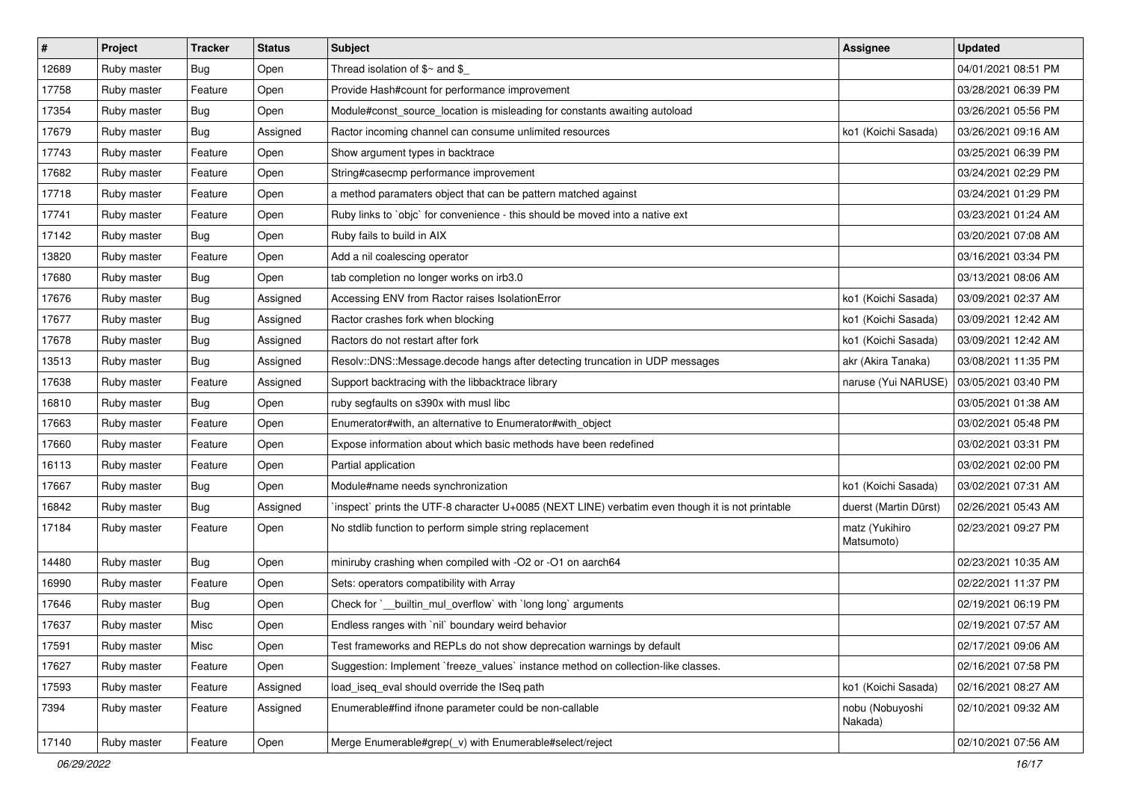| $\pmb{\#}$ | Project     | <b>Tracker</b> | <b>Status</b> | Subject                                                                                         | <b>Assignee</b>              | <b>Updated</b>      |
|------------|-------------|----------------|---------------|-------------------------------------------------------------------------------------------------|------------------------------|---------------------|
| 12689      | Ruby master | Bug            | Open          | Thread isolation of $$~$ and \$                                                                 |                              | 04/01/2021 08:51 PM |
| 17758      | Ruby master | Feature        | Open          | Provide Hash#count for performance improvement                                                  |                              | 03/28/2021 06:39 PM |
| 17354      | Ruby master | <b>Bug</b>     | Open          | Module#const_source_location is misleading for constants awaiting autoload                      |                              | 03/26/2021 05:56 PM |
| 17679      | Ruby master | <b>Bug</b>     | Assigned      | Ractor incoming channel can consume unlimited resources                                         | ko1 (Koichi Sasada)          | 03/26/2021 09:16 AM |
| 17743      | Ruby master | Feature        | Open          | Show argument types in backtrace                                                                |                              | 03/25/2021 06:39 PM |
| 17682      | Ruby master | Feature        | Open          | String#casecmp performance improvement                                                          |                              | 03/24/2021 02:29 PM |
| 17718      | Ruby master | Feature        | Open          | a method paramaters object that can be pattern matched against                                  |                              | 03/24/2021 01:29 PM |
| 17741      | Ruby master | Feature        | Open          | Ruby links to `objc` for convenience - this should be moved into a native ext                   |                              | 03/23/2021 01:24 AM |
| 17142      | Ruby master | <b>Bug</b>     | Open          | Ruby fails to build in AIX                                                                      |                              | 03/20/2021 07:08 AM |
| 13820      | Ruby master | Feature        | Open          | Add a nil coalescing operator                                                                   |                              | 03/16/2021 03:34 PM |
| 17680      | Ruby master | Bug            | Open          | tab completion no longer works on irb3.0                                                        |                              | 03/13/2021 08:06 AM |
| 17676      | Ruby master | <b>Bug</b>     | Assigned      | Accessing ENV from Ractor raises IsolationError                                                 | ko1 (Koichi Sasada)          | 03/09/2021 02:37 AM |
| 17677      | Ruby master | Bug            | Assigned      | Ractor crashes fork when blocking                                                               | ko1 (Koichi Sasada)          | 03/09/2021 12:42 AM |
| 17678      | Ruby master | Bug            | Assigned      | Ractors do not restart after fork                                                               | ko1 (Koichi Sasada)          | 03/09/2021 12:42 AM |
| 13513      | Ruby master | Bug            | Assigned      | Resolv::DNS::Message.decode hangs after detecting truncation in UDP messages                    | akr (Akira Tanaka)           | 03/08/2021 11:35 PM |
| 17638      | Ruby master | Feature        | Assigned      | Support backtracing with the libbacktrace library                                               | naruse (Yui NARUSE)          | 03/05/2021 03:40 PM |
| 16810      | Ruby master | <b>Bug</b>     | Open          | ruby segfaults on s390x with musl libc                                                          |                              | 03/05/2021 01:38 AM |
| 17663      | Ruby master | Feature        | Open          | Enumerator#with, an alternative to Enumerator#with_object                                       |                              | 03/02/2021 05:48 PM |
| 17660      | Ruby master | Feature        | Open          | Expose information about which basic methods have been redefined                                |                              | 03/02/2021 03:31 PM |
| 16113      | Ruby master | Feature        | Open          | Partial application                                                                             |                              | 03/02/2021 02:00 PM |
| 17667      | Ruby master | Bug            | Open          | Module#name needs synchronization                                                               | ko1 (Koichi Sasada)          | 03/02/2021 07:31 AM |
| 16842      | Ruby master | Bug            | Assigned      | inspect` prints the UTF-8 character U+0085 (NEXT LINE) verbatim even though it is not printable | duerst (Martin Dürst)        | 02/26/2021 05:43 AM |
| 17184      | Ruby master | Feature        | Open          | No stdlib function to perform simple string replacement                                         | matz (Yukihiro<br>Matsumoto) | 02/23/2021 09:27 PM |
| 14480      | Ruby master | Bug            | Open          | miniruby crashing when compiled with -O2 or -O1 on aarch64                                      |                              | 02/23/2021 10:35 AM |
| 16990      | Ruby master | Feature        | Open          | Sets: operators compatibility with Array                                                        |                              | 02/22/2021 11:37 PM |
| 17646      | Ruby master | <b>Bug</b>     | Open          | Check for `__builtin_mul_overflow` with `long long` arguments                                   |                              | 02/19/2021 06:19 PM |
| 17637      | Ruby master | Misc           | Open          | Endless ranges with `nil` boundary weird behavior                                               |                              | 02/19/2021 07:57 AM |
| 17591      | Ruby master | Misc           | Open          | Test frameworks and REPLs do not show deprecation warnings by default                           |                              | 02/17/2021 09:06 AM |
| 17627      | Ruby master | Feature        | Open          | Suggestion: Implement `freeze_values` instance method on collection-like classes.               |                              | 02/16/2021 07:58 PM |
| 17593      | Ruby master | Feature        | Assigned      | load_iseq_eval should override the ISeq path                                                    | ko1 (Koichi Sasada)          | 02/16/2021 08:27 AM |
| 7394       | Ruby master | Feature        | Assigned      | Enumerable#find ifnone parameter could be non-callable                                          | nobu (Nobuyoshi<br>Nakada)   | 02/10/2021 09:32 AM |
| 17140      | Ruby master | Feature        | Open          | Merge Enumerable#grep(_v) with Enumerable#select/reject                                         |                              | 02/10/2021 07:56 AM |